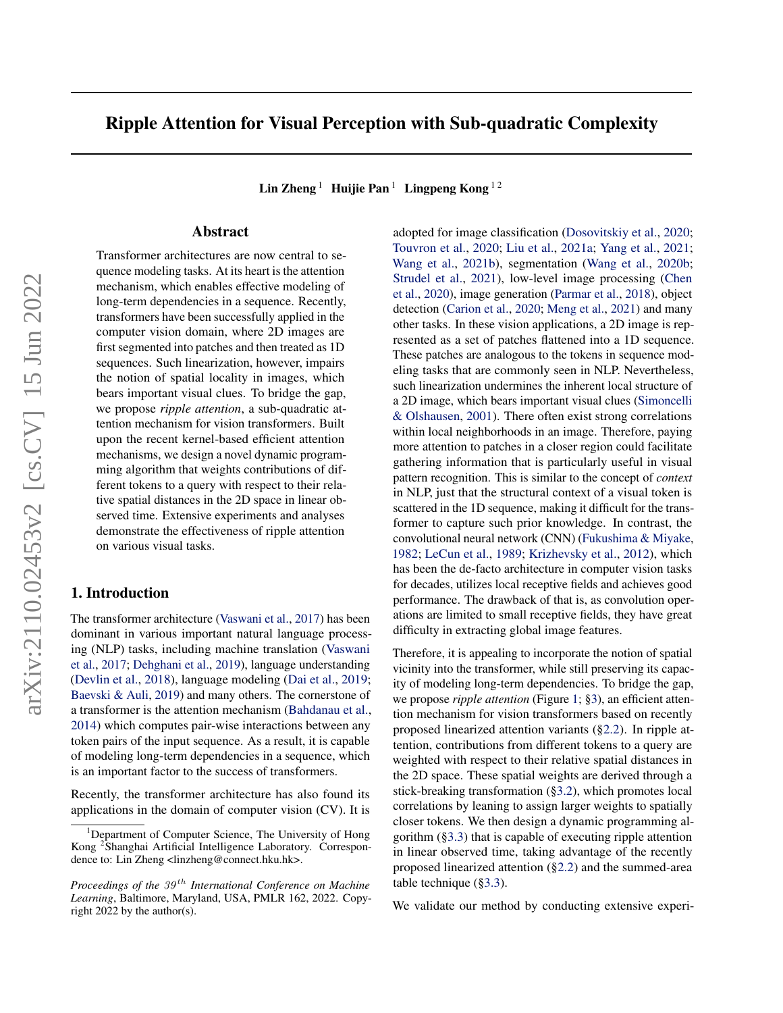# Ripple Attention for Visual Perception with Sub-quadratic Complexity

Lin Zheng <sup>1</sup> Huijie Pan<sup>1</sup> Lingpeng Kong <sup>12</sup>

## Abstract

Transformer architectures are now central to sequence modeling tasks. At its heart is the attention mechanism, which enables effective modeling of long-term dependencies in a sequence. Recently, transformers have been successfully applied in the computer vision domain, where 2D images are first segmented into patches and then treated as 1D sequences. Such linearization, however, impairs the notion of spatial locality in images, which bears important visual clues. To bridge the gap, we propose *ripple attention*, a sub-quadratic attention mechanism for vision transformers. Built upon the recent kernel-based efficient attention mechanisms, we design a novel dynamic programming algorithm that weights contributions of different tokens to a query with respect to their relative spatial distances in the 2D space in linear observed time. Extensive experiments and analyses demonstrate the effectiveness of ripple attention on various visual tasks.

## 1. Introduction

The transformer architecture [\(Vaswani et al.,](#page-10-0) [2017\)](#page-10-0) has been dominant in various important natural language processing (NLP) tasks, including machine translation [\(Vaswani](#page-10-0) [et al.,](#page-10-0) [2017;](#page-10-0) [Dehghani et al.,](#page-8-0) [2019\)](#page-8-0), language understanding [\(Devlin et al.,](#page-8-1) [2018\)](#page-8-1), language modeling [\(Dai et al.,](#page-8-2) [2019;](#page-8-2) [Baevski & Auli,](#page-8-3) [2019\)](#page-8-3) and many others. The cornerstone of a transformer is the attention mechanism [\(Bahdanau et al.,](#page-8-4) [2014\)](#page-8-4) which computes pair-wise interactions between any token pairs of the input sequence. As a result, it is capable of modeling long-term dependencies in a sequence, which is an important factor to the success of transformers.

Recently, the transformer architecture has also found its applications in the domain of computer vision (CV). It is adopted for image classification [\(Dosovitskiy et al.,](#page-8-5) [2020;](#page-8-5) [Touvron et al.,](#page-10-1) [2020;](#page-10-1) [Liu et al.,](#page-9-0) [2021a;](#page-9-0) [Yang et al.,](#page-10-2) [2021;](#page-10-2) [Wang et al.,](#page-10-3) [2021b\)](#page-10-3), segmentation [\(Wang et al.,](#page-10-4) [2020b;](#page-10-4) [Strudel et al.,](#page-10-5) [2021\)](#page-10-5), low-level image processing [\(Chen](#page-8-6) [et al.,](#page-8-6) [2020\)](#page-8-6), image generation [\(Parmar et al.,](#page-9-1) [2018\)](#page-9-1), object detection [\(Carion et al.,](#page-8-7) [2020;](#page-8-7) [Meng et al.,](#page-9-2) [2021\)](#page-9-2) and many other tasks. In these vision applications, a 2D image is represented as a set of patches flattened into a 1D sequence. These patches are analogous to the tokens in sequence modeling tasks that are commonly seen in NLP. Nevertheless, such linearization undermines the inherent local structure of a 2D image, which bears important visual clues [\(Simoncelli](#page-10-6) [& Olshausen,](#page-10-6) [2001\)](#page-10-6). There often exist strong correlations within local neighborhoods in an image. Therefore, paying more attention to patches in a closer region could facilitate gathering information that is particularly useful in visual pattern recognition. This is similar to the concept of *context* in NLP, just that the structural context of a visual token is scattered in the 1D sequence, making it difficult for the transformer to capture such prior knowledge. In contrast, the convolutional neural network (CNN) [\(Fukushima & Miyake,](#page-8-8) [1982;](#page-8-8) [LeCun et al.,](#page-9-3) [1989;](#page-9-3) [Krizhevsky et al.,](#page-9-4) [2012\)](#page-9-4), which has been the de-facto architecture in computer vision tasks for decades, utilizes local receptive fields and achieves good performance. The drawback of that is, as convolution operations are limited to small receptive fields, they have great difficulty in extracting global image features.

Therefore, it is appealing to incorporate the notion of spatial vicinity into the transformer, while still preserving its capacity of modeling long-term dependencies. To bridge the gap, we propose *ripple attention* (Figure [1;](#page-2-0) [§3\)](#page-1-0), an efficient attention mechanism for vision transformers based on recently proposed linearized attention variants ([§2.2\)](#page-1-1). In ripple attention, contributions from different tokens to a query are weighted with respect to their relative spatial distances in the 2D space. These spatial weights are derived through a stick-breaking transformation ([§3.2\)](#page-2-1), which promotes local correlations by leaning to assign larger weights to spatially closer tokens. We then design a dynamic programming algorithm ([§3.3\)](#page-2-2) that is capable of executing ripple attention in linear observed time, taking advantage of the recently proposed linearized attention ([§2.2\)](#page-1-1) and the summed-area table technique ([§3.3\)](#page-2-2).

We validate our method by conducting extensive experi-

Department of Computer Science, The University of Hong Kong <sup>2</sup> Shanghai Artificial Intelligence Laboratory. Correspondence to: Lin Zheng <linzheng@connect.hku.hk>.

*Proceedings of the*  $39<sup>th</sup>$  *International Conference on Machine Learning*, Baltimore, Maryland, USA, PMLR 162, 2022. Copyright 2022 by the author(s).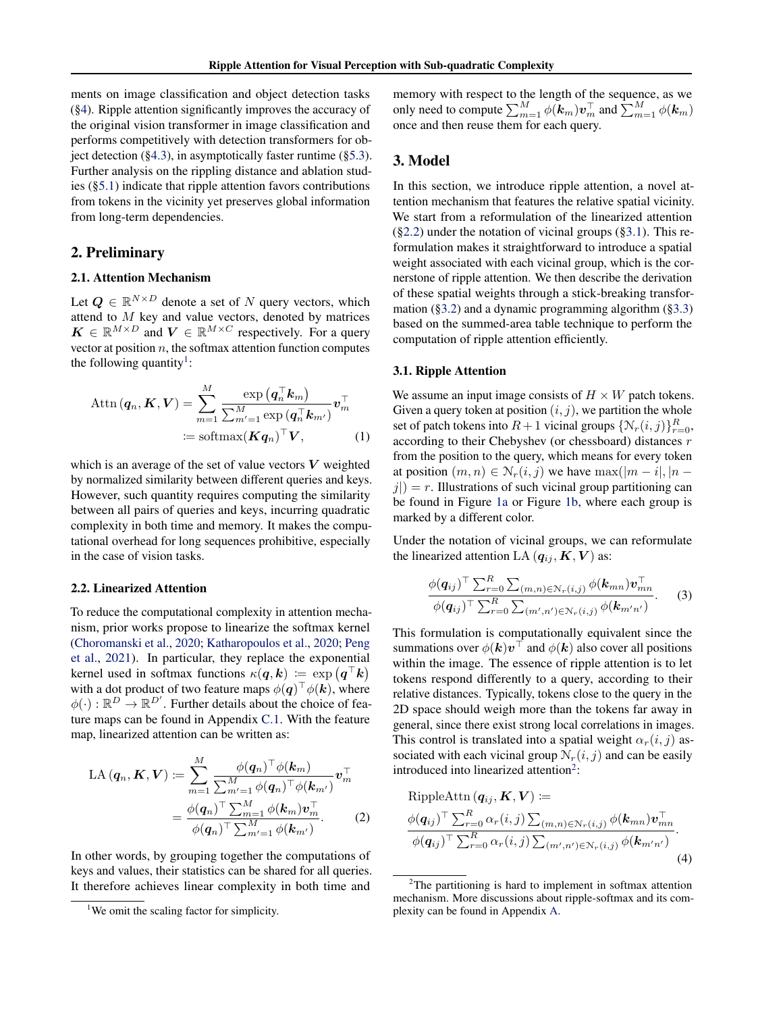ments on image classification and object detection tasks ([§4\)](#page-3-0). Ripple attention significantly improves the accuracy of the original vision transformer in image classification and performs competitively with detection transformers for object detection  $(\S 4.3)$ , in asymptotically faster runtime  $(\S 5.3)$ . Further analysis on the rippling distance and ablation studies ([§5.1\)](#page-5-1) indicate that ripple attention favors contributions from tokens in the vicinity yet preserves global information from long-term dependencies.

## 2. Preliminary

#### 2.1. Attention Mechanism

Let  $Q \in \mathbb{R}^{N \times D}$  denote a set of N query vectors, which attend to  $M$  key and value vectors, denoted by matrices  $\mathbf{K} \in \mathbb{R}^{M \times D}$  and  $\mathbf{V} \in \mathbb{R}^{M \times C}$  respectively. For a query vector at position  $n$ , the softmax attention function computes the following quantity<sup>[1](#page-1-2)</sup>:

$$
\text{Attn}(\boldsymbol{q}_n, \boldsymbol{K}, \boldsymbol{V}) = \sum_{m=1}^{M} \frac{\exp(\boldsymbol{q}_n^{\top} \boldsymbol{k}_m)}{\sum_{m'=1}^{M} \exp(\boldsymbol{q}_n^{\top} \boldsymbol{k}_{m'})} \boldsymbol{v}_m^{\top}
$$

$$
\coloneqq \text{softmax}(\boldsymbol{K}\boldsymbol{q}_n)^{\top} \boldsymbol{V}, \tag{1}
$$

which is an average of the set of value vectors  $V$  weighted by normalized similarity between different queries and keys. However, such quantity requires computing the similarity between all pairs of queries and keys, incurring quadratic complexity in both time and memory. It makes the computational overhead for long sequences prohibitive, especially in the case of vision tasks.

#### <span id="page-1-1"></span>2.2. Linearized Attention

To reduce the computational complexity in attention mechanism, prior works propose to linearize the softmax kernel [\(Choromanski et al.,](#page-8-9) [2020;](#page-8-9) [Katharopoulos et al.,](#page-9-5) [2020;](#page-9-5) [Peng](#page-10-7) [et al.,](#page-10-7) [2021\)](#page-10-7). In particular, they replace the exponential kernel used in softmax functions  $\kappa(\boldsymbol{q},\boldsymbol{k}) \coloneqq \exp(\boldsymbol{q}^\top \boldsymbol{k})$ with a dot product of two feature maps  $\phi(\boldsymbol{q})^{\top}\phi(\boldsymbol{k})$ , where  $\phi(\cdot): \mathbb{R}^D \to \mathbb{R}^{D'}$ . Further details about the choice of feature maps can be found in Appendix [C.1.](#page-13-0) With the feature map, linearized attention can be written as:

$$
LA(\boldsymbol{q}_n, \boldsymbol{K}, \boldsymbol{V}) := \sum_{m=1}^{M} \frac{\phi(\boldsymbol{q}_n)^{\top} \phi(\boldsymbol{k}_m)}{\sum_{m'=1}^{M'} \phi(\boldsymbol{q}_n)^{\top} \phi(\boldsymbol{k}_{m'})} \boldsymbol{v}_m^{\top}
$$

$$
= \frac{\phi(\boldsymbol{q}_n)^{\top} \sum_{m=1}^{M} \phi(\boldsymbol{k}_m) \boldsymbol{v}_m^{\top}}{\phi(\boldsymbol{q}_n)^{\top} \sum_{m'=1}^{M} \phi(\boldsymbol{k}_{m'})}.
$$
(2)

In other words, by grouping together the computations of keys and values, their statistics can be shared for all queries. It therefore achieves linear complexity in both time and

memory with respect to the length of the sequence, as we only need to compute  $\sum_{m=1}^{M} \phi(\boldsymbol{k}_m) \boldsymbol{v}_m^{\top}$  and  $\sum_{m=1}^{M} \phi(\boldsymbol{k}_m)$ once and then reuse them for each query.

## <span id="page-1-0"></span>3. Model

In this section, we introduce ripple attention, a novel attention mechanism that features the relative spatial vicinity. We start from a reformulation of the linearized attention  $(\S 2.2)$  under the notation of vicinal groups  $(\S 3.1)$ . This reformulation makes it straightforward to introduce a spatial weight associated with each vicinal group, which is the cornerstone of ripple attention. We then describe the derivation of these spatial weights through a stick-breaking transformation ([§3.2\)](#page-2-1) and a dynamic programming algorithm ([§3.3\)](#page-2-2) based on the summed-area table technique to perform the computation of ripple attention efficiently.

#### <span id="page-1-3"></span>3.1. Ripple Attention

We assume an input image consists of  $H \times W$  patch tokens. Given a query token at position  $(i, j)$ , we partition the whole set of patch tokens into  $R+1$  vicinal groups  $\{N_r(i,j)\}_{r=0}^R$ , according to their Chebyshev (or chessboard) distances r from the position to the query, which means for every token at position  $(m, n) \in \mathcal{N}_r(i, j)$  we have  $\max(|m - i|, |n - j|)$  $j|$ ) = r. Illustrations of such vicinal group partitioning can be found in Figure [1a](#page-2-0) or Figure [1b,](#page-2-0) where each group is marked by a different color.

Under the notation of vicinal groups, we can reformulate the linearized attention LA  $(q_{ij}, K, V)$  as:

$$
\frac{\phi(\boldsymbol{q}_{ij})^{\top} \sum_{r=0}^{R} \sum_{(m,n) \in \mathcal{N}_r(i,j)} \phi(\boldsymbol{k}_{mn}) \boldsymbol{v}_{mn}^{\top}}{\phi(\boldsymbol{q}_{ij})^{\top} \sum_{r=0}^{R} \sum_{(m',n') \in \mathcal{N}_r(i,j)} \phi(\boldsymbol{k}_{m'n'})}.
$$
 (3)

This formulation is computationally equivalent since the summations over  $\phi(\mathbf{k})\mathbf{v}^\top$  and  $\phi(\mathbf{k})$  also cover all positions within the image. The essence of ripple attention is to let tokens respond differently to a query, according to their relative distances. Typically, tokens close to the query in the 2D space should weigh more than the tokens far away in general, since there exist strong local correlations in images. This control is translated into a spatial weight  $\alpha_r(i, j)$  associated with each vicinal group  $N_r(i, j)$  and can be easily introduced into linearized attention<sup>[2](#page-1-4)</sup>:

RippleAttn 
$$
(\mathbf{q}_{ij}, \mathbf{K}, \mathbf{V}) :=
$$
  
\n
$$
\frac{\phi(\mathbf{q}_{ij})^{\top} \sum_{r=0}^{R} \alpha_r(i,j) \sum_{(m,n) \in \mathcal{N}_r(i,j)} \phi(\mathbf{k}_{mn}) \mathbf{v}_{mn}^{\top}}{\phi(\mathbf{q}_{ij})^{\top} \sum_{r=0}^{R} \alpha_r(i,j) \sum_{(m',n') \in \mathcal{N}_r(i,j)} \phi(\mathbf{k}_{m'n'})}
$$
\n(4)

<span id="page-1-2"></span><sup>&</sup>lt;sup>1</sup>We omit the scaling factor for simplicity.

<span id="page-1-4"></span> $2$ The partitioning is hard to implement in softmax attention mechanism. More discussions about ripple-softmax and its complexity can be found in Appendix [A.](#page-11-0)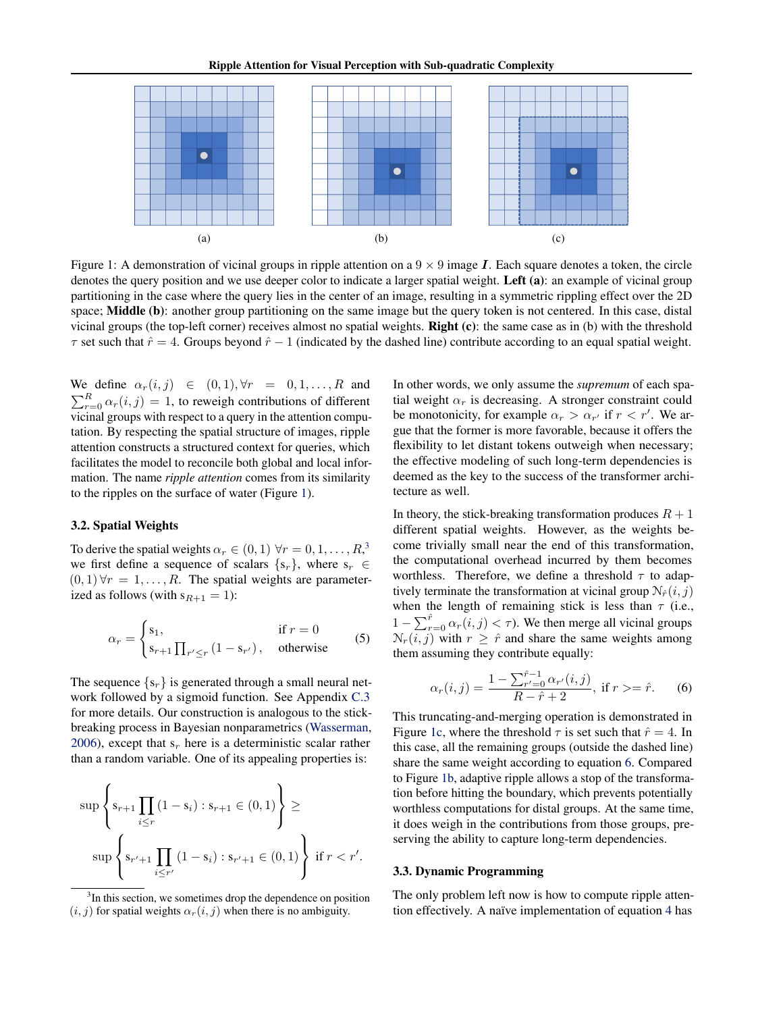<span id="page-2-0"></span>

Figure 1: A demonstration of vicinal groups in ripple attention on a  $9 \times 9$  image *I*. Each square denotes a token, the circle denotes the query position and we use deeper color to indicate a larger spatial weight. Left (a): an example of vicinal group partitioning in the case where the query lies in the center of an image, resulting in a symmetric rippling effect over the 2D space; **Middle** (b): another group partitioning on the same image but the query token is not centered. In this case, distal vicinal groups (the top-left corner) receives almost no spatial weights. **Right (c)**: the same case as in (b) with the threshold  $\tau$  set such that  $\hat{r} = 4$ . Groups beyond  $\hat{r} - 1$  (indicated by the dashed line) contribute according to an equal spatial weight.

We define  $\alpha_r(i,j) \in (0,1), \forall r = 0,1,\ldots,R$  and  $\sum_{r=0}^{R} \alpha_r(i,j) = 1$ , to reweigh contributions of different vicinal groups with respect to a query in the attention computation. By respecting the spatial structure of images, ripple attention constructs a structured context for queries, which facilitates the model to reconcile both global and local information. The name *ripple attention* comes from its similarity to the ripples on the surface of water (Figure [1\)](#page-2-0).

#### <span id="page-2-1"></span>3.2. Spatial Weights

To derive the spatial weights  $\alpha_r \in (0,1) \,\,\forall r = 0,1,\ldots,R^3$  $\alpha_r \in (0,1) \,\,\forall r = 0,1,\ldots,R^3$ we first define a sequence of scalars  $\{s_r\}$ , where  $s_r \in$  $(0, 1) \forall r = 1, \ldots, R$ . The spatial weights are parameterized as follows (with  $s_{R+1} = 1$ ):

<span id="page-2-4"></span>
$$
\alpha_r = \begin{cases} \n s_1, & \text{if } r = 0 \\ \n s_{r+1} \prod_{r' \le r} \left( 1 - s_{r'} \right), & \text{otherwise} \n \end{cases} \tag{5}
$$

The sequence  $\{s_r\}$  is generated through a small neural network followed by a sigmoid function. See Appendix [C.3](#page-14-0) for more details. Our construction is analogous to the stickbreaking process in Bayesian nonparametrics [\(Wasserman,](#page-10-8) [2006\)](#page-10-8), except that  $s_r$  here is a deterministic scalar rather than a random variable. One of its appealing properties is:

$$
\sup \left\{ s_{r+1} \prod_{i \leq r} (1 - s_i) : s_{r+1} \in (0, 1) \right\} \ge
$$
  

$$
\sup \left\{ s_{r'+1} \prod_{i \leq r'} (1 - s_i) : s_{r'+1} \in (0, 1) \right\} \text{ if } r < r'.
$$

In other words, we only assume the *supremum* of each spatial weight  $\alpha_r$  is decreasing. A stronger constraint could be monotonicity, for example  $\alpha_r > \alpha_{r'}$  if  $r < r'$ . We argue that the former is more favorable, because it offers the flexibility to let distant tokens outweigh when necessary; the effective modeling of such long-term dependencies is deemed as the key to the success of the transformer architecture as well.

In theory, the stick-breaking transformation produces  $R + 1$ different spatial weights. However, as the weights become trivially small near the end of this transformation, the computational overhead incurred by them becomes worthless. Therefore, we define a threshold  $\tau$  to adaptively terminate the transformation at vicinal group  $N_{\hat{r}}(i, j)$ when the length of remaining stick is less than  $\tau$  (i.e.,  $1 - \sum_{r=0}^{\hat{r}} \alpha_r(i,j) < \tau$ ). We then merge all vicinal groups  $\mathcal{N}_r(i, j)$  with  $r \geq \hat{r}$  and share the same weights among them assuming they contribute equally:

$$
\alpha_r(i,j) = \frac{1 - \sum_{r'=0}^{\hat{r}-1} \alpha_{r'}(i,j)}{R - \hat{r} + 2}, \text{ if } r > = \hat{r}.
$$
 (6)

This truncating-and-merging operation is demonstrated in Figure [1c,](#page-2-0) where the threshold  $\tau$  is set such that  $\hat{r} = 4$ . In this case, all the remaining groups (outside the dashed line) share the same weight according to equation [6.](#page-2-4) Compared to Figure [1b,](#page-2-0) adaptive ripple allows a stop of the transformation before hitting the boundary, which prevents potentially worthless computations for distal groups. At the same time, it does weigh in the contributions from those groups, preserving the ability to capture long-term dependencies.

#### <span id="page-2-2"></span>3.3. Dynamic Programming

The only problem left now is how to compute ripple attention effectively. A naïve implementation of equation [4](#page-2-0) has

<span id="page-2-3"></span><sup>&</sup>lt;sup>3</sup>In this section, we sometimes drop the dependence on position  $(i, j)$  for spatial weights  $\alpha_r(i, j)$  when there is no ambiguity.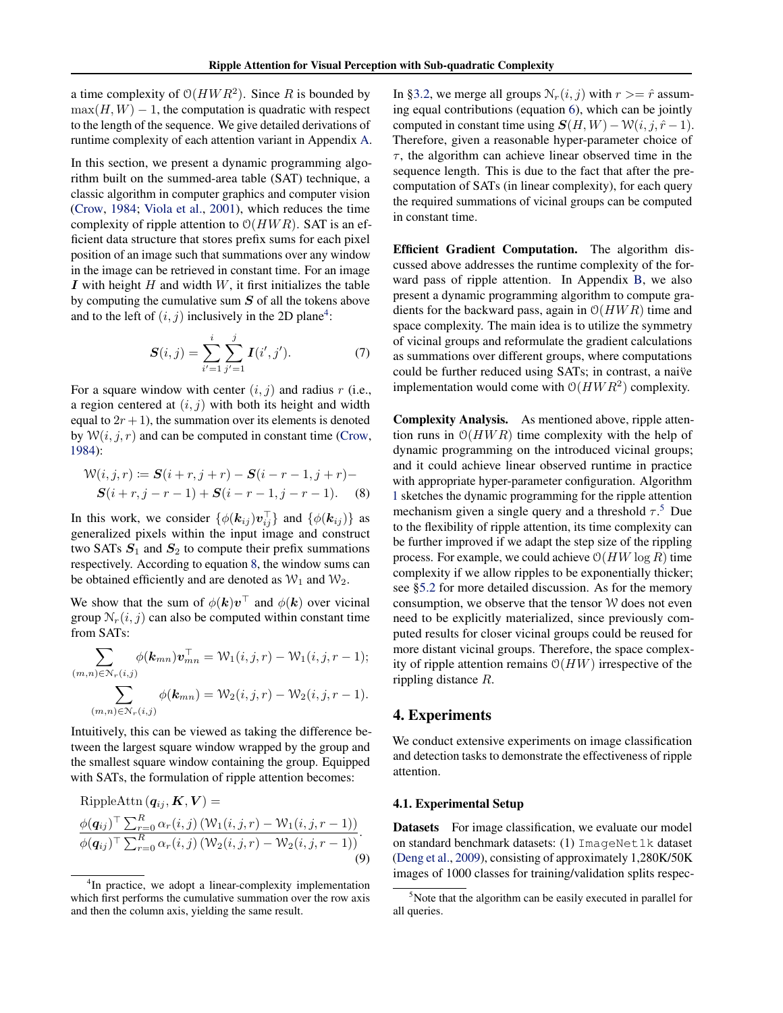a time complexity of  $O(HWR^2)$ . Since R is bounded by  $\max(H, W) - 1$ , the computation is quadratic with respect to the length of the sequence. We give detailed derivations of runtime complexity of each attention variant in Appendix [A.](#page-11-0)

In this section, we present a dynamic programming algorithm built on the summed-area table (SAT) technique, a classic algorithm in computer graphics and computer vision [\(Crow,](#page-8-10) [1984;](#page-8-10) [Viola et al.,](#page-10-9) [2001\)](#page-10-9), which reduces the time complexity of ripple attention to  $O(HWR)$ . SAT is an efficient data structure that stores prefix sums for each pixel position of an image such that summations over any window in the image can be retrieved in constant time. For an image I with height  $H$  and width  $W$ , it first initializes the table by computing the cumulative sum  $S$  of all the tokens above and to the left of  $(i, j)$  inclusively in the 2D plane<sup>[4](#page-3-1)</sup>:

$$
S(i,j) = \sum_{i'=1}^{i} \sum_{j'=1}^{j} I(i',j').
$$
 (7)

For a square window with center  $(i, j)$  and radius r (i.e., a region centered at  $(i, j)$  with both its height and width equal to  $2r + 1$ ), the summation over its elements is denoted by  $W(i, j, r)$  and can be computed in constant time [\(Crow,](#page-8-10) [1984\)](#page-8-10):

$$
\mathcal{W}(i, j, r) := \mathbf{S}(i + r, j + r) - \mathbf{S}(i - r - 1, j + r) - \mathbf{S}(i + r, j - r - 1) + \mathbf{S}(i - r - 1, j - r - 1).
$$
 (8)

In this work, we consider  $\{\phi(\mathbf{k}_{ij})\mathbf{v}_{ij}^{\top}\}\$  and  $\{\phi(\mathbf{k}_{ij})\}$  as generalized pixels within the input image and construct two SATs  $S_1$  and  $S_2$  to compute their prefix summations respectively. According to equation [8,](#page-3-2) the window sums can be obtained efficiently and are denoted as  $W_1$  and  $W_2$ .

We show that the sum of  $\phi(\mathbf{k})\mathbf{v}^{\top}$  and  $\phi(\mathbf{k})$  over vicinal group  $N_r(i, j)$  can also be computed within constant time from SATs:

$$
\sum_{(m,n)\in\mathcal{N}_r(i,j)} \phi(\mathbf{k}_{mn}) \mathbf{v}_{mn}^\top = \mathcal{W}_1(i,j,r) - \mathcal{W}_1(i,j,r-1);
$$

$$
\sum_{(m,n)\in\mathcal{N}_r(i,j)} \phi(\mathbf{k}_{mn}) = \mathcal{W}_2(i,j,r) - \mathcal{W}_2(i,j,r-1).
$$

Intuitively, this can be viewed as taking the difference between the largest square window wrapped by the group and the smallest square window containing the group. Equipped with SATs, the formulation of ripple attention becomes:

RippleAttn 
$$
(\mathbf{q}_{ij}, \mathbf{K}, \mathbf{V})
$$
 =  
\n
$$
\frac{\phi(\mathbf{q}_{ij})^{\top} \sum_{r=0}^{R} \alpha_r(i,j) (\mathcal{W}_1(i,j,r) - \mathcal{W}_1(i,j,r-1))}{\phi(\mathbf{q}_{ij})^{\top} \sum_{r=0}^{R} \alpha_r(i,j) (\mathcal{W}_2(i,j,r) - \mathcal{W}_2(i,j,r-1))}.
$$
\n(9)

In [§3.2,](#page-2-1) we merge all groups  $N_r(i, j)$  with  $r \geq \hat{r}$  assuming equal contributions (equation [6\)](#page-2-4), which can be jointly computed in constant time using  $S(H, W) - W(i, j, \hat{r} - 1)$ . Therefore, given a reasonable hyper-parameter choice of  $\tau$ , the algorithm can achieve linear observed time in the sequence length. This is due to the fact that after the precomputation of SATs (in linear complexity), for each query the required summations of vicinal groups can be computed in constant time.

<span id="page-3-2"></span>Efficient Gradient Computation. The algorithm discussed above addresses the runtime complexity of the forward pass of ripple attention. In Appendix [B,](#page-11-1) we also present a dynamic programming algorithm to compute gradients for the backward pass, again in  $O(HWR)$  time and space complexity. The main idea is to utilize the symmetry of vicinal groups and reformulate the gradient calculations as summations over different groups, where computations could be further reduced using SATs; in contrast, a naive¨ implementation would come with  $O(HWR^2)$  complexity.

Complexity Analysis. As mentioned above, ripple attention runs in  $O(HWR)$  time complexity with the help of dynamic programming on the introduced vicinal groups; and it could achieve linear observed runtime in practice with appropriate hyper-parameter configuration. Algorithm [1](#page-4-0) sketches the dynamic programming for the ripple attention mechanism given a single query and a threshold  $\tau$ <sup>[5](#page-3-3)</sup>. Due to the flexibility of ripple attention, its time complexity can be further improved if we adapt the step size of the rippling process. For example, we could achieve  $O(HW \log R)$  time complexity if we allow ripples to be exponentially thicker; see [§5.2](#page-6-0) for more detailed discussion. As for the memory consumption, we observe that the tensor W does not even need to be explicitly materialized, since previously computed results for closer vicinal groups could be reused for more distant vicinal groups. Therefore, the space complexity of ripple attention remains  $O(HW)$  irrespective of the rippling distance R.

## <span id="page-3-0"></span>4. Experiments

We conduct extensive experiments on image classification and detection tasks to demonstrate the effectiveness of ripple attention.

#### <span id="page-3-4"></span>4.1. Experimental Setup

Datasets For image classification, we evaluate our model on standard benchmark datasets: (1) ImageNet1k dataset [\(Deng et al.,](#page-8-11) [2009\)](#page-8-11), consisting of approximately 1,280K/50K images of 1000 classes for training/validation splits respec-

<span id="page-3-1"></span><sup>&</sup>lt;sup>4</sup>In practice, we adopt a linear-complexity implementation which first performs the cumulative summation over the row axis and then the column axis, yielding the same result.

<span id="page-3-3"></span> $5$ Note that the algorithm can be easily executed in parallel for all queries.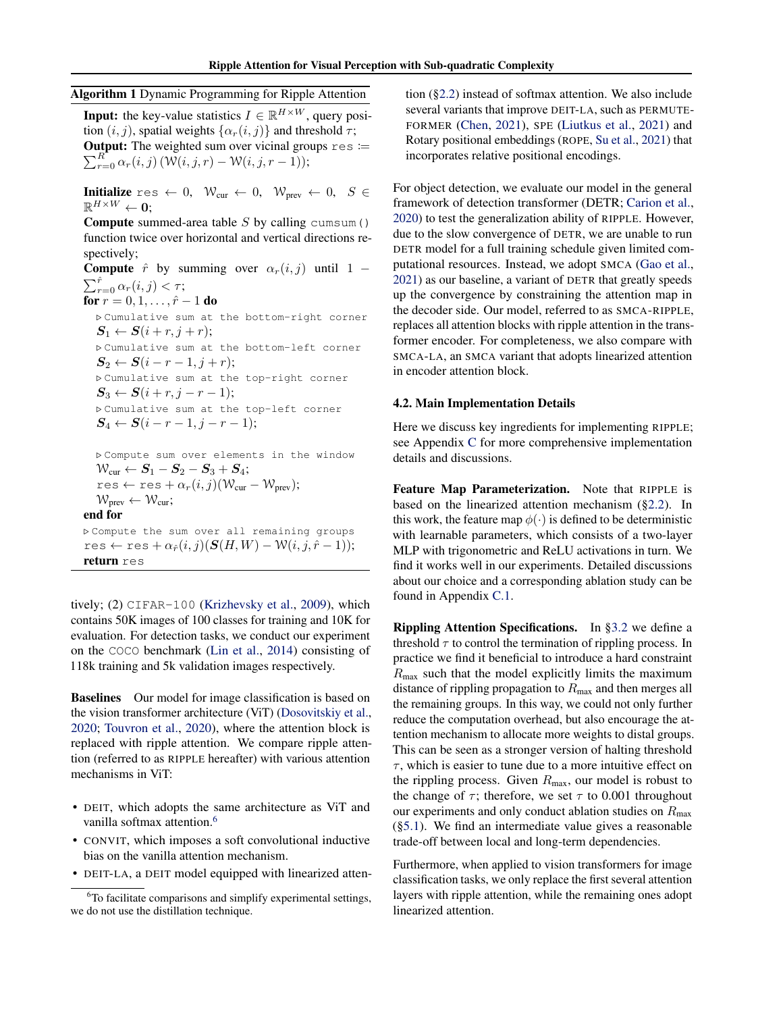## <span id="page-4-0"></span>Algorithm 1 Dynamic Programming for Ripple Attention

**Input:** the key-value statistics  $I \in \mathbb{R}^{H \times W}$ , query position  $(i, j)$ , spatial weights  $\{\alpha_r(i, j)\}\$ and threshold  $\tau$ ;  $\sum_{r=0}^{R^-} \alpha_r(i,j) \left( \mathcal{W}(i,j,r) - \mathcal{W}(i,j,r-1) \right);$ **Output:** The weighted sum over vicinal groups  $res :=$ 

**Initialize** res  $\leftarrow 0$ ,  $\mathcal{W}_{cur} \leftarrow 0$ ,  $\mathcal{W}_{prev} \leftarrow 0$ ,  $S \in$  $\mathbb{R}^{H\times W}\leftarrow\mathbf{0};$ 

**Compute** summed-area table  $S$  by calling cumsum () function twice over horizontal and vertical directions respectively;

**Compute**  $\hat{r}$  by summing over  $\alpha_r(i, j)$  until 1 −  $\sum_{r=0}^{\hat{r}} \alpha_r(i,j) < \tau;$ for  $r = 0, 1, \ldots, \hat{r} - 1$  do

. Cumulative sum at the bottom-right corner  $S_1 \leftarrow S(i + r, j + r);$ . Cumulative sum at the bottom-left corner  $S_2 \leftarrow S(i-r-1,j+r);$ . Cumulative sum at the top-right corner  $S_3 \leftarrow S(i + r, j - r - 1);$ . Cumulative sum at the top-left corner  $S_4 \leftarrow S(i - r - 1, j - r - 1);$ 

. Compute sum over elements in the window  $\mathcal{W}_{\text{cur}} \leftarrow \mathbf{S}_1 - \mathbf{S}_2 - \mathbf{S}_3 + \mathbf{S}_4;$  $res \leftarrow res + \alpha_r(i, j)(W_{cur} - W_{prev});$  $W_{prev} \leftarrow W_{cur}$ ; end for

 $D$  Compute the sum over all remaining groups res ← res +  $\alpha_{\hat{r}}(i, j)(\mathbf{S}(H, W) - \mathcal{W}(i, j, \hat{r} - 1));$ return res

tively; (2) CIFAR-100 [\(Krizhevsky et al.,](#page-9-6) [2009\)](#page-9-6), which contains 50K images of 100 classes for training and 10K for evaluation. For detection tasks, we conduct our experiment on the COCO benchmark [\(Lin et al.,](#page-9-7) [2014\)](#page-9-7) consisting of 118k training and 5k validation images respectively.

Baselines Our model for image classification is based on the vision transformer architecture (ViT) [\(Dosovitskiy et al.,](#page-8-5) [2020;](#page-8-5) [Touvron et al.,](#page-10-1) [2020\)](#page-10-1), where the attention block is replaced with ripple attention. We compare ripple attention (referred to as RIPPLE hereafter) with various attention mechanisms in ViT:

- DEIT, which adopts the same architecture as ViT and vanilla softmax attention.<sup>[6](#page-4-1)</sup>
- CONVIT, which imposes a soft convolutional inductive bias on the vanilla attention mechanism.
- DEIT-LA, a DEIT model equipped with linearized atten-

tion ([§2.2\)](#page-1-1) instead of softmax attention. We also include several variants that improve DEIT-LA, such as PERMUTE-FORMER [\(Chen,](#page-8-12) [2021\)](#page-8-12), SPE [\(Liutkus et al.,](#page-9-8) [2021\)](#page-9-8) and Rotary positional embeddings (ROPE, [Su et al.,](#page-10-10) [2021\)](#page-10-10) that incorporates relative positional encodings.

For object detection, we evaluate our model in the general framework of detection transformer (DETR; [Carion et al.,](#page-8-7) [2020\)](#page-8-7) to test the generalization ability of RIPPLE. However, due to the slow convergence of DETR, we are unable to run DETR model for a full training schedule given limited computational resources. Instead, we adopt SMCA [\(Gao et al.,](#page-8-13) [2021\)](#page-8-13) as our baseline, a variant of DETR that greatly speeds up the convergence by constraining the attention map in the decoder side. Our model, referred to as SMCA-RIPPLE, replaces all attention blocks with ripple attention in the transformer encoder. For completeness, we also compare with SMCA-LA, an SMCA variant that adopts linearized attention in encoder attention block.

#### 4.2. Main Implementation Details

Here we discuss key ingredients for implementing RIPPLE; see Appendix [C](#page-12-0) for more comprehensive implementation details and discussions.

Feature Map Parameterization. Note that RIPPLE is based on the linearized attention mechanism ([§2.2\)](#page-1-1). In this work, the feature map  $\phi(\cdot)$  is defined to be deterministic with learnable parameters, which consists of a two-layer MLP with trigonometric and ReLU activations in turn. We find it works well in our experiments. Detailed discussions about our choice and a corresponding ablation study can be found in Appendix [C.1.](#page-13-0)

Rippling Attention Specifications. In [§3.2](#page-2-1) we define a threshold  $\tau$  to control the termination of rippling process. In practice we find it beneficial to introduce a hard constraint  $R_{\text{max}}$  such that the model explicitly limits the maximum distance of rippling propagation to  $R_{\text{max}}$  and then merges all the remaining groups. In this way, we could not only further reduce the computation overhead, but also encourage the attention mechanism to allocate more weights to distal groups. This can be seen as a stronger version of halting threshold  $\tau$ , which is easier to tune due to a more intuitive effect on the rippling process. Given  $R_{\text{max}}$ , our model is robust to the change of  $\tau$ ; therefore, we set  $\tau$  to 0.001 throughout our experiments and only conduct ablation studies on  $R_{\text{max}}$  $(\S 5.1)$ . We find an intermediate value gives a reasonable trade-off between local and long-term dependencies.

Furthermore, when applied to vision transformers for image classification tasks, we only replace the first several attention layers with ripple attention, while the remaining ones adopt linearized attention.

<span id="page-4-1"></span> ${}^{6}$ To facilitate comparisons and simplify experimental settings, we do not use the distillation technique.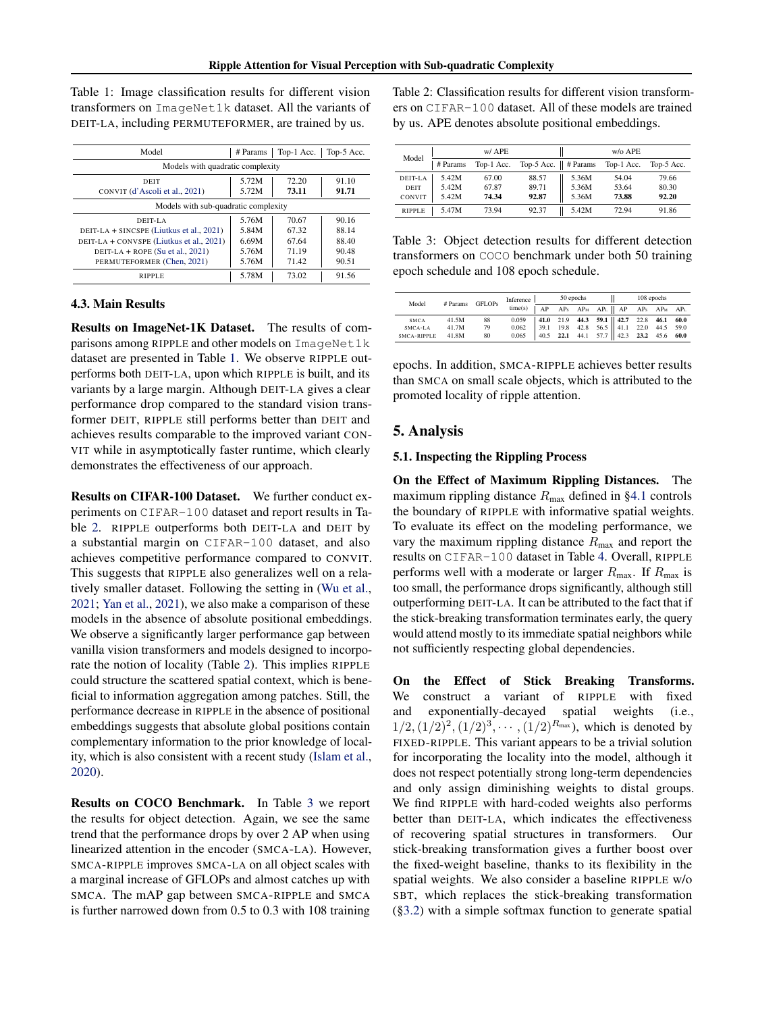<span id="page-5-2"></span>Table 1: Image classification results for different vision transformers on ImageNet1k dataset. All the variants of DEIT-LA, including PERMUTEFORMER, are trained by us.

| Model                                                                                                                                                                       | # Params                                  | Top-1 Acc.                                | Top-5 Acc.                                |  |  |  |  |
|-----------------------------------------------------------------------------------------------------------------------------------------------------------------------------|-------------------------------------------|-------------------------------------------|-------------------------------------------|--|--|--|--|
| Models with quadratic complexity                                                                                                                                            |                                           |                                           |                                           |  |  |  |  |
| <b>DEIT</b><br>CONVIT (d'Ascoli et al., 2021)                                                                                                                               | 5.72M<br>5.72M                            | 72.20<br>73.11                            | 91.10<br>91.71                            |  |  |  |  |
| Models with sub-quadratic complexity                                                                                                                                        |                                           |                                           |                                           |  |  |  |  |
| DEIT-LA<br>DEIT-LA + SINCSPE (Liutkus et al., 2021)<br>DEIT-LA + CONVSPE (Liutkus et al., 2021)<br>DEIT-LA + ROPE $(Su \text{ et al. } 2021)$<br>PERMUTEFORMER (Chen. 2021) | 5.76M<br>5.84M<br>6.69M<br>5.76M<br>5.76M | 70.67<br>67.32<br>67.64<br>71.19<br>71.42 | 90.16<br>88.14<br>88.40<br>90.48<br>90.51 |  |  |  |  |
| <b>RIPPLE</b>                                                                                                                                                               | 5.78M                                     | 73.02                                     | 91.56                                     |  |  |  |  |

#### <span id="page-5-0"></span>4.3. Main Results

Results on ImageNet-1K Dataset. The results of comparisons among RIPPLE and other models on ImageNet1k dataset are presented in Table [1.](#page-5-2) We observe RIPPLE outperforms both DEIT-LA, upon which RIPPLE is built, and its variants by a large margin. Although DEIT-LA gives a clear performance drop compared to the standard vision transformer DEIT, RIPPLE still performs better than DEIT and achieves results comparable to the improved variant CON-VIT while in asymptotically faster runtime, which clearly demonstrates the effectiveness of our approach.

Results on CIFAR-100 Dataset. We further conduct experiments on CIFAR-100 dataset and report results in Table [2.](#page-5-3) RIPPLE outperforms both DEIT-LA and DEIT by a substantial margin on CIFAR-100 dataset, and also achieves competitive performance compared to CONVIT. This suggests that RIPPLE also generalizes well on a relatively smaller dataset. Following the setting in [\(Wu et al.,](#page-10-11) [2021;](#page-10-11) [Yan et al.,](#page-10-12) [2021\)](#page-10-12), we also make a comparison of these models in the absence of absolute positional embeddings. We observe a significantly larger performance gap between vanilla vision transformers and models designed to incorporate the notion of locality (Table [2\)](#page-5-3). This implies RIPPLE could structure the scattered spatial context, which is beneficial to information aggregation among patches. Still, the performance decrease in RIPPLE in the absence of positional embeddings suggests that absolute global positions contain complementary information to the prior knowledge of locality, which is also consistent with a recent study [\(Islam et al.,](#page-9-9) [2020\)](#page-9-9).

Results on COCO Benchmark. In Table [3](#page-5-4) we report the results for object detection. Again, we see the same trend that the performance drops by over 2 AP when using linearized attention in the encoder (SMCA-LA). However, SMCA-RIPPLE improves SMCA-LA on all object scales with a marginal increase of GFLOPs and almost catches up with SMCA. The mAP gap between SMCA-RIPPLE and SMCA is further narrowed down from 0.5 to 0.3 with 108 training

<span id="page-5-3"></span>Table 2: Classification results for different vision transformers on CIFAR-100 dataset. All of these models are trained by us. APE denotes absolute positional embeddings.

| Model         |          | w/ APE     |                                 |       | w/o APE    |            |
|---------------|----------|------------|---------------------------------|-------|------------|------------|
|               | # Params | Top-1 Acc. | Top-5 Acc. $\parallel$ # Params |       | Top-1 Acc. | Top-5 Acc. |
| DEIT-LA       | 5.42M    | 67.00      | 88.57                           | 5.36M | 54.04      | 79.66      |
| DEIT          | 5.42M    | 67.87      | 89.71                           | 5.36M | 53.64      | 80.30      |
| CONVIT        | 5.42M    | 74.34      | 92.87                           | 5.36M | 73.88      | 92.20      |
| <b>RIPPLE</b> | 5.47M    | 73.94      | 92.37                           | 5.42M | 72.94      | 91.86      |

<span id="page-5-4"></span>Table 3: Object detection results for different detection transformers on COCO benchmark under both 50 training epoch schedule and 108 epoch schedule.

|             | # Params<br><b>GFLOPs</b> | Inference |         | 50 epochs |  |                                                     | 108 epochs |  |  |
|-------------|---------------------------|-----------|---------|-----------|--|-----------------------------------------------------|------------|--|--|
| Model       |                           |           | time(s) |           |  | AP APs APM APL    AP APs APM APL                    |            |  |  |
| <b>SMCA</b> | 41.5M                     | 88        | 0.059   |           |  | 41.0 21.9 44.3 59.1    42.7 22.8 46.1 60.0          |            |  |  |
| SMCA-LA     | 41.7M                     | 79        | 0.062   |           |  | $39.1$ 19.8 42.8 56.5 41.1 22.0 44.5 59.0           |            |  |  |
| SMCA-RIPPLE | 41.8M                     | 80        | 0.065   |           |  | 40.5 22.1 44.1 57.7 $\parallel$ 42.3 23.2 45.6 60.0 |            |  |  |

epochs. In addition, SMCA-RIPPLE achieves better results than SMCA on small scale objects, which is attributed to the promoted locality of ripple attention.

#### 5. Analysis

#### <span id="page-5-1"></span>5.1. Inspecting the Rippling Process

On the Effect of Maximum Rippling Distances. The maximum rippling distance  $R_{\text{max}}$  defined in [§4.1](#page-3-4) controls the boundary of RIPPLE with informative spatial weights. To evaluate its effect on the modeling performance, we vary the maximum rippling distance  $R_{\text{max}}$  and report the results on CIFAR-100 dataset in Table [4.](#page-6-1) Overall, RIPPLE performs well with a moderate or larger  $R_{\text{max}}$ . If  $R_{\text{max}}$  is too small, the performance drops significantly, although still outperforming DEIT-LA. It can be attributed to the fact that if the stick-breaking transformation terminates early, the query would attend mostly to its immediate spatial neighbors while not sufficiently respecting global dependencies.

On the Effect of Stick Breaking Transforms. We construct a variant of RIPPLE with fixed and exponentially-decayed spatial weights (i.e.,  $1/2, (1/2)^2, (1/2)^3, \cdots, (1/2)^{R_{\text{max}}}$ ), which is denoted by FIXED-RIPPLE. This variant appears to be a trivial solution for incorporating the locality into the model, although it does not respect potentially strong long-term dependencies and only assign diminishing weights to distal groups. We find RIPPLE with hard-coded weights also performs better than DEIT-LA, which indicates the effectiveness of recovering spatial structures in transformers. Our stick-breaking transformation gives a further boost over the fixed-weight baseline, thanks to its flexibility in the spatial weights. We also consider a baseline RIPPLE w/o SBT, which replaces the stick-breaking transformation ([§3.2\)](#page-2-1) with a simple softmax function to generate spatial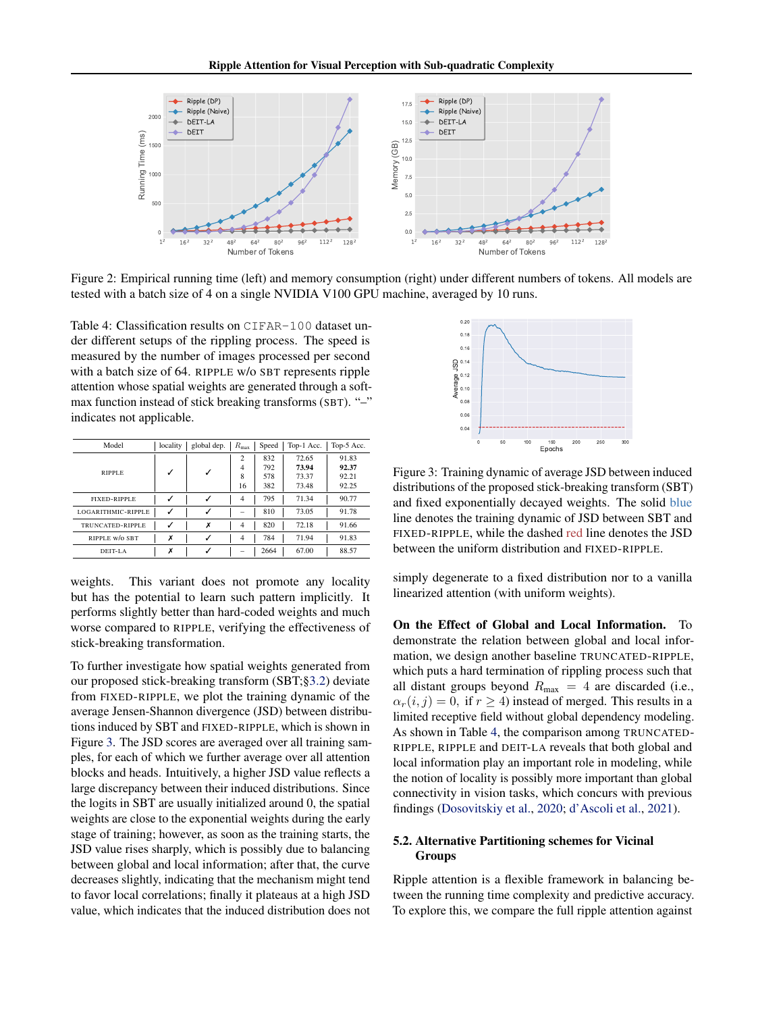<span id="page-6-3"></span>

Figure 2: Empirical running time (left) and memory consumption (right) under different numbers of tokens. All models are tested with a batch size of 4 on a single NVIDIA V100 GPU machine, averaged by 10 runs.

<span id="page-6-1"></span>Table 4: Classification results on CIFAR-100 dataset under different setups of the rippling process. The speed is measured by the number of images processed per second with a batch size of 64. RIPPLE w/o SBT represents ripple attention whose spatial weights are generated through a softmax function instead of stick breaking transforms (SBT). "-" indicates not applicable.

| Model               | locality | global dep. | $R_{\rm max}$  | Speed | Top-1 Acc. | Top-5 Acc. |
|---------------------|----------|-------------|----------------|-------|------------|------------|
|                     | ✓        | ✓           | $\overline{c}$ | 832   | 72.65      | 91.83      |
| RIPPLE              |          |             | $\overline{4}$ | 792   | 73.94      | 92.37      |
|                     |          |             | 8              | 578   | 73.37      | 92.21      |
|                     |          |             | 16             | 382   | 73.48      | 92.25      |
| <b>FIXED-RIPPLE</b> | ✓        | ✓           | $\overline{4}$ | 795   | 71.34      | 90.77      |
| LOGARITHMIC-RIPPLE  |          | ✓           |                | 810   | 73.05      | 91.78      |
| TRUNCATED-RIPPLE    |          | Х           | $\overline{4}$ | 820   | 72.18      | 91.66      |
| RIPPLE W/o SBT      | Х        | ✓           | $\overline{4}$ | 784   | 71.94      | 91.83      |
| DEIT-LA             | x        |             |                | 2664  | 67.00      | 88.57      |

weights. This variant does not promote any locality but has the potential to learn such pattern implicitly. It performs slightly better than hard-coded weights and much worse compared to RIPPLE, verifying the effectiveness of stick-breaking transformation.

To further investigate how spatial weights generated from our proposed stick-breaking transform (SBT;[§3.2\)](#page-2-1) deviate from FIXED-RIPPLE, we plot the training dynamic of the average Jensen-Shannon divergence (JSD) between distributions induced by SBT and FIXED-RIPPLE, which is shown in Figure [3.](#page-6-2) The JSD scores are averaged over all training samples, for each of which we further average over all attention blocks and heads. Intuitively, a higher JSD value reflects a large discrepancy between their induced distributions. Since the logits in SBT are usually initialized around 0, the spatial weights are close to the exponential weights during the early stage of training; however, as soon as the training starts, the JSD value rises sharply, which is possibly due to balancing between global and local information; after that, the curve decreases slightly, indicating that the mechanism might tend to favor local correlations; finally it plateaus at a high JSD value, which indicates that the induced distribution does not

<span id="page-6-2"></span>

Figure 3: Training dynamic of average JSD between induced distributions of the proposed stick-breaking transform (SBT) and fixed exponentially decayed weights. The solid blue line denotes the training dynamic of JSD between SBT and FIXED-RIPPLE, while the dashed red line denotes the JSD between the uniform distribution and FIXED-RIPPLE.

simply degenerate to a fixed distribution nor to a vanilla linearized attention (with uniform weights).

On the Effect of Global and Local Information. To demonstrate the relation between global and local information, we design another baseline TRUNCATED-RIPPLE, which puts a hard termination of rippling process such that all distant groups beyond  $R_{\text{max}} = 4$  are discarded (i.e.,  $\alpha_r(i, j) = 0$ , if  $r \ge 4$ ) instead of merged. This results in a limited receptive field without global dependency modeling. As shown in Table [4,](#page-6-1) the comparison among TRUNCATED-RIPPLE, RIPPLE and DEIT-LA reveals that both global and local information play an important role in modeling, while the notion of locality is possibly more important than global connectivity in vision tasks, which concurs with previous findings [\(Dosovitskiy et al.,](#page-8-5) [2020;](#page-8-5) [d'Ascoli et al.,](#page-8-14) [2021\)](#page-8-14).

## <span id="page-6-0"></span>5.2. Alternative Partitioning schemes for Vicinal Groups

Ripple attention is a flexible framework in balancing between the running time complexity and predictive accuracy. To explore this, we compare the full ripple attention against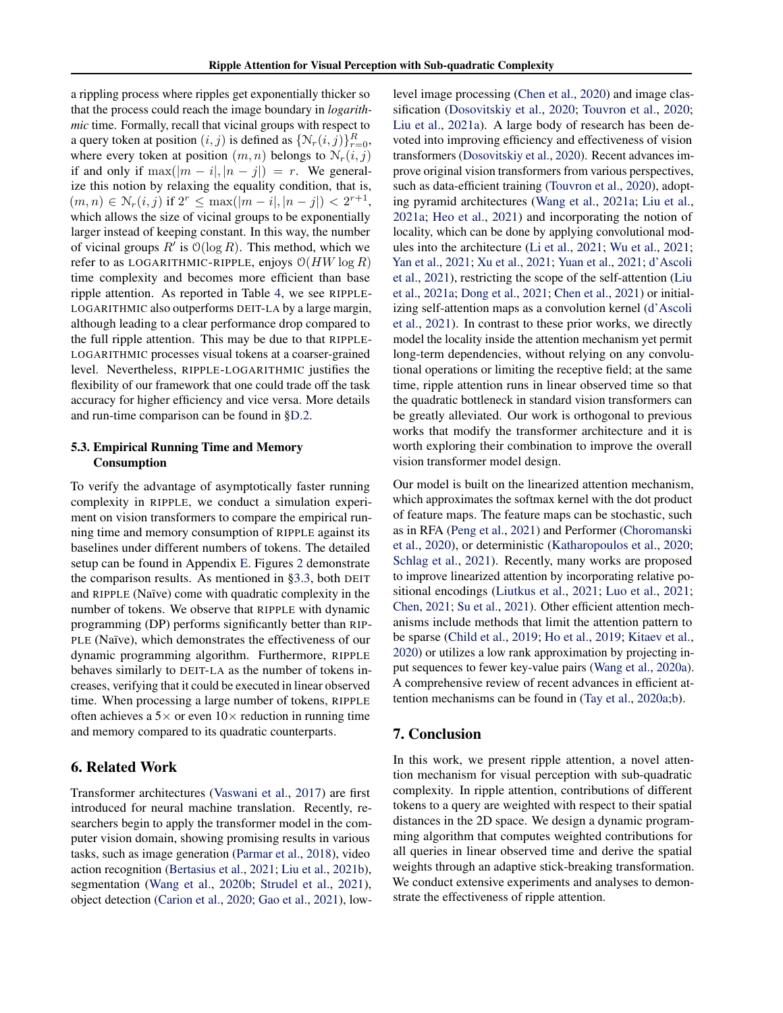a rippling process where ripples get exponentially thicker so that the process could reach the image boundary in *logarithmic* time. Formally, recall that vicinal groups with respect to a query token at position  $(i, j)$  is defined as  $\{N_r(i, j)\}_{r=0}^R$ , where every token at position  $(m, n)$  belongs to  $N_r(i, j)$ if and only if  $\max(|m - i|, |n - j|) = r$ . We generalize this notion by relaxing the equality condition, that is,  $(m, n) \in \mathcal{N}_r(i, j)$  if  $2^r \leq \max(|m - i|, |n - j|) < 2^{r+1}$ , which allows the size of vicinal groups to be exponentially larger instead of keeping constant. In this way, the number of vicinal groups  $R'$  is  $\mathcal{O}(\log R)$ . This method, which we refer to as LOGARITHMIC-RIPPLE, enjoys  $O(HW \log R)$ time complexity and becomes more efficient than base ripple attention. As reported in Table [4,](#page-6-1) we see RIPPLE-LOGARITHMIC also outperforms DEIT-LA by a large margin, although leading to a clear performance drop compared to the full ripple attention. This may be due to that RIPPLE-LOGARITHMIC processes visual tokens at a coarser-grained level. Nevertheless, RIPPLE-LOGARITHMIC justifies the flexibility of our framework that one could trade off the task accuracy for higher efficiency and vice versa. More details and run-time comparison can be found in [§D.2.](#page-16-0)

#### <span id="page-7-0"></span>5.3. Empirical Running Time and Memory Consumption

To verify the advantage of asymptotically faster running complexity in RIPPLE, we conduct a simulation experiment on vision transformers to compare the empirical running time and memory consumption of RIPPLE against its baselines under different numbers of tokens. The detailed setup can be found in Appendix [E.](#page-17-0) Figures [2](#page-6-3) demonstrate the comparison results. As mentioned in [§3.3,](#page-2-2) both DEIT and RIPPLE (Naïve) come with quadratic complexity in the number of tokens. We observe that RIPPLE with dynamic programming (DP) performs significantly better than RIP-PLE (Naïve), which demonstrates the effectiveness of our dynamic programming algorithm. Furthermore, RIPPLE behaves similarly to DEIT-LA as the number of tokens increases, verifying that it could be executed in linear observed time. When processing a large number of tokens, RIPPLE often achieves a  $5\times$  or even  $10\times$  reduction in running time and memory compared to its quadratic counterparts.

## 6. Related Work

Transformer architectures [\(Vaswani et al.,](#page-10-0) [2017\)](#page-10-0) are first introduced for neural machine translation. Recently, researchers begin to apply the transformer model in the computer vision domain, showing promising results in various tasks, such as image generation [\(Parmar et al.,](#page-9-1) [2018\)](#page-9-1), video action recognition [\(Bertasius et al.,](#page-8-15) [2021;](#page-8-15) [Liu et al.,](#page-9-10) [2021b\)](#page-9-10), segmentation [\(Wang et al.,](#page-10-4) [2020b;](#page-10-4) [Strudel et al.,](#page-10-5) [2021\)](#page-10-5), object detection [\(Carion et al.,](#page-8-7) [2020;](#page-8-7) [Gao et al.,](#page-8-13) [2021\)](#page-8-13), lowlevel image processing [\(Chen et al.,](#page-8-6) [2020\)](#page-8-6) and image classification [\(Dosovitskiy et al.,](#page-8-5) [2020;](#page-8-5) [Touvron et al.,](#page-10-1) [2020;](#page-10-1) [Liu et al.,](#page-9-0) [2021a\)](#page-9-0). A large body of research has been devoted into improving efficiency and effectiveness of vision transformers [\(Dosovitskiy et al.,](#page-8-5) [2020\)](#page-8-5). Recent advances improve original vision transformers from various perspectives, such as data-efficient training [\(Touvron et al.,](#page-10-1) [2020\)](#page-10-1), adopting pyramid architectures [\(Wang et al.,](#page-10-13) [2021a;](#page-10-13) [Liu et al.,](#page-9-0) [2021a;](#page-9-0) [Heo et al.,](#page-9-11) [2021\)](#page-9-11) and incorporating the notion of locality, which can be done by applying convolutional modules into the architecture [\(Li et al.,](#page-9-12) [2021;](#page-9-12) [Wu et al.,](#page-10-11) [2021;](#page-10-11) [Yan et al.,](#page-10-12) [2021;](#page-10-12) [Xu et al.,](#page-10-14) [2021;](#page-10-14) [Yuan et al.,](#page-10-15) [2021;](#page-10-15) [d'Ascoli](#page-8-14) [et al.,](#page-8-14) [2021\)](#page-8-14), restricting the scope of the self-attention [\(Liu](#page-9-0) [et al.,](#page-9-0) [2021a;](#page-9-0) [Dong et al.,](#page-8-16) [2021;](#page-8-16) [Chen et al.,](#page-8-17) [2021\)](#page-8-17) or initializing self-attention maps as a convolution kernel [\(d'Ascoli](#page-8-14) [et al.,](#page-8-14) [2021\)](#page-8-14). In contrast to these prior works, we directly model the locality inside the attention mechanism yet permit long-term dependencies, without relying on any convolutional operations or limiting the receptive field; at the same time, ripple attention runs in linear observed time so that the quadratic bottleneck in standard vision transformers can be greatly alleviated. Our work is orthogonal to previous works that modify the transformer architecture and it is worth exploring their combination to improve the overall vision transformer model design.

Our model is built on the linearized attention mechanism, which approximates the softmax kernel with the dot product of feature maps. The feature maps can be stochastic, such as in RFA [\(Peng et al.,](#page-10-7) [2021\)](#page-10-7) and Performer [\(Choromanski](#page-8-9) [et al.,](#page-8-9) [2020\)](#page-8-9), or deterministic [\(Katharopoulos et al.,](#page-9-5) [2020;](#page-9-5) [Schlag et al.,](#page-10-16) [2021\)](#page-10-16). Recently, many works are proposed to improve linearized attention by incorporating relative positional encodings [\(Liutkus et al.,](#page-9-8) [2021;](#page-9-8) [Luo et al.,](#page-9-13) [2021;](#page-9-13) [Chen,](#page-8-12) [2021;](#page-8-12) [Su et al.,](#page-10-10) [2021\)](#page-10-10). Other efficient attention mechanisms include methods that limit the attention pattern to be sparse [\(Child et al.,](#page-8-18) [2019;](#page-8-18) [Ho et al.,](#page-9-14) [2019;](#page-9-14) [Kitaev et al.,](#page-9-15) [2020\)](#page-9-15) or utilizes a low rank approximation by projecting input sequences to fewer key-value pairs [\(Wang et al.,](#page-10-17) [2020a\)](#page-10-17). A comprehensive review of recent advances in efficient attention mechanisms can be found in [\(Tay et al.,](#page-10-18) [2020a;](#page-10-18)[b\)](#page-10-19).

## 7. Conclusion

In this work, we present ripple attention, a novel attention mechanism for visual perception with sub-quadratic complexity. In ripple attention, contributions of different tokens to a query are weighted with respect to their spatial distances in the 2D space. We design a dynamic programming algorithm that computes weighted contributions for all queries in linear observed time and derive the spatial weights through an adaptive stick-breaking transformation. We conduct extensive experiments and analyses to demonstrate the effectiveness of ripple attention.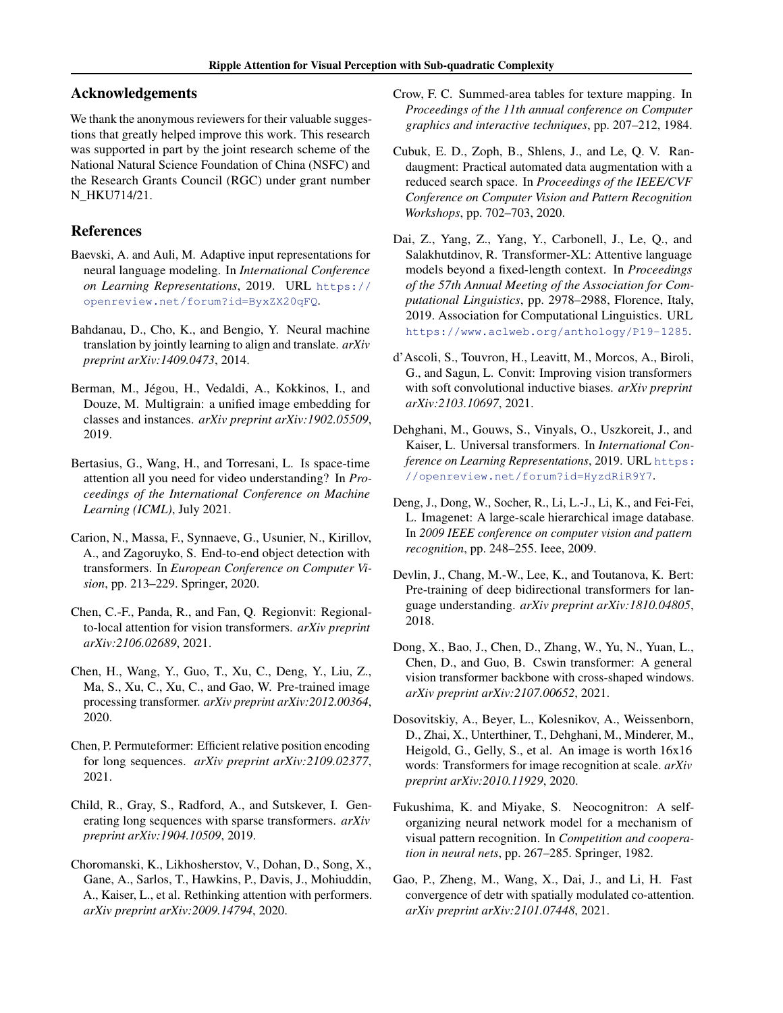## Acknowledgements

We thank the anonymous reviewers for their valuable suggestions that greatly helped improve this work. This research was supported in part by the joint research scheme of the National Natural Science Foundation of China (NSFC) and the Research Grants Council (RGC) under grant number N\_HKU714/21.

# References

- <span id="page-8-3"></span>Baevski, A. and Auli, M. Adaptive input representations for neural language modeling. In *International Conference on Learning Representations*, 2019. URL [https://](https://openreview.net/forum?id=ByxZX20qFQ) [openreview.net/forum?id=ByxZX20qFQ](https://openreview.net/forum?id=ByxZX20qFQ).
- <span id="page-8-4"></span>Bahdanau, D., Cho, K., and Bengio, Y. Neural machine translation by jointly learning to align and translate. *arXiv preprint arXiv:1409.0473*, 2014.
- <span id="page-8-20"></span>Berman, M., Jégou, H., Vedaldi, A., Kokkinos, I., and Douze, M. Multigrain: a unified image embedding for classes and instances. *arXiv preprint arXiv:1902.05509*, 2019.
- <span id="page-8-15"></span>Bertasius, G., Wang, H., and Torresani, L. Is space-time attention all you need for video understanding? In *Proceedings of the International Conference on Machine Learning (ICML)*, July 2021.
- <span id="page-8-7"></span>Carion, N., Massa, F., Synnaeve, G., Usunier, N., Kirillov, A., and Zagoruyko, S. End-to-end object detection with transformers. In *European Conference on Computer Vision*, pp. 213–229. Springer, 2020.
- <span id="page-8-17"></span>Chen, C.-F., Panda, R., and Fan, Q. Regionvit: Regionalto-local attention for vision transformers. *arXiv preprint arXiv:2106.02689*, 2021.
- <span id="page-8-6"></span>Chen, H., Wang, Y., Guo, T., Xu, C., Deng, Y., Liu, Z., Ma, S., Xu, C., Xu, C., and Gao, W. Pre-trained image processing transformer. *arXiv preprint arXiv:2012.00364*, 2020.
- <span id="page-8-12"></span>Chen, P. Permuteformer: Efficient relative position encoding for long sequences. *arXiv preprint arXiv:2109.02377*, 2021.
- <span id="page-8-18"></span>Child, R., Gray, S., Radford, A., and Sutskever, I. Generating long sequences with sparse transformers. *arXiv preprint arXiv:1904.10509*, 2019.
- <span id="page-8-9"></span>Choromanski, K., Likhosherstov, V., Dohan, D., Song, X., Gane, A., Sarlos, T., Hawkins, P., Davis, J., Mohiuddin, A., Kaiser, L., et al. Rethinking attention with performers. *arXiv preprint arXiv:2009.14794*, 2020.
- <span id="page-8-10"></span>Crow, F. C. Summed-area tables for texture mapping. In *Proceedings of the 11th annual conference on Computer graphics and interactive techniques*, pp. 207–212, 1984.
- <span id="page-8-19"></span>Cubuk, E. D., Zoph, B., Shlens, J., and Le, Q. V. Randaugment: Practical automated data augmentation with a reduced search space. In *Proceedings of the IEEE/CVF Conference on Computer Vision and Pattern Recognition Workshops*, pp. 702–703, 2020.
- <span id="page-8-2"></span>Dai, Z., Yang, Z., Yang, Y., Carbonell, J., Le, Q., and Salakhutdinov, R. Transformer-XL: Attentive language models beyond a fixed-length context. In *Proceedings of the 57th Annual Meeting of the Association for Computational Linguistics*, pp. 2978–2988, Florence, Italy, 2019. Association for Computational Linguistics. URL <https://www.aclweb.org/anthology/P19-1285>.
- <span id="page-8-14"></span>d'Ascoli, S., Touvron, H., Leavitt, M., Morcos, A., Biroli, G., and Sagun, L. Convit: Improving vision transformers with soft convolutional inductive biases. *arXiv preprint arXiv:2103.10697*, 2021.
- <span id="page-8-0"></span>Dehghani, M., Gouws, S., Vinyals, O., Uszkoreit, J., and Kaiser, L. Universal transformers. In *International Conference on Learning Representations*, 2019. URL [https:](https://openreview.net/forum?id=HyzdRiR9Y7) [//openreview.net/forum?id=HyzdRiR9Y7](https://openreview.net/forum?id=HyzdRiR9Y7).
- <span id="page-8-11"></span>Deng, J., Dong, W., Socher, R., Li, L.-J., Li, K., and Fei-Fei, L. Imagenet: A large-scale hierarchical image database. In *2009 IEEE conference on computer vision and pattern recognition*, pp. 248–255. Ieee, 2009.
- <span id="page-8-1"></span>Devlin, J., Chang, M.-W., Lee, K., and Toutanova, K. Bert: Pre-training of deep bidirectional transformers for language understanding. *arXiv preprint arXiv:1810.04805*, 2018.
- <span id="page-8-16"></span>Dong, X., Bao, J., Chen, D., Zhang, W., Yu, N., Yuan, L., Chen, D., and Guo, B. Cswin transformer: A general vision transformer backbone with cross-shaped windows. *arXiv preprint arXiv:2107.00652*, 2021.
- <span id="page-8-5"></span>Dosovitskiy, A., Beyer, L., Kolesnikov, A., Weissenborn, D., Zhai, X., Unterthiner, T., Dehghani, M., Minderer, M., Heigold, G., Gelly, S., et al. An image is worth 16x16 words: Transformers for image recognition at scale. *arXiv preprint arXiv:2010.11929*, 2020.
- <span id="page-8-8"></span>Fukushima, K. and Miyake, S. Neocognitron: A selforganizing neural network model for a mechanism of visual pattern recognition. In *Competition and cooperation in neural nets*, pp. 267–285. Springer, 1982.
- <span id="page-8-13"></span>Gao, P., Zheng, M., Wang, X., Dai, J., and Li, H. Fast convergence of detr with spatially modulated co-attention. *arXiv preprint arXiv:2101.07448*, 2021.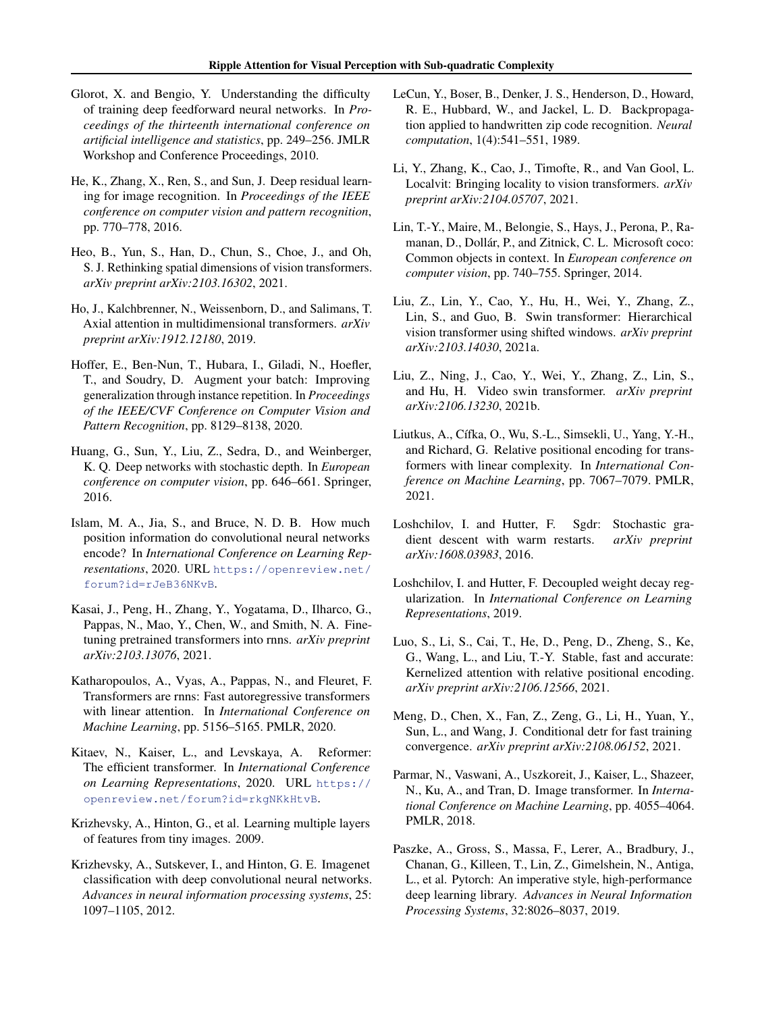- <span id="page-9-23"></span>Glorot, X. and Bengio, Y. Understanding the difficulty of training deep feedforward neural networks. In *Proceedings of the thirteenth international conference on artificial intelligence and statistics*, pp. 249–256. JMLR Workshop and Conference Proceedings, 2010.
- <span id="page-9-18"></span>He, K., Zhang, X., Ren, S., and Sun, J. Deep residual learning for image recognition. In *Proceedings of the IEEE conference on computer vision and pattern recognition*, pp. 770–778, 2016.
- <span id="page-9-11"></span>Heo, B., Yun, S., Han, D., Chun, S., Choe, J., and Oh, S. J. Rethinking spatial dimensions of vision transformers. *arXiv preprint arXiv:2103.16302*, 2021.
- <span id="page-9-14"></span>Ho, J., Kalchbrenner, N., Weissenborn, D., and Salimans, T. Axial attention in multidimensional transformers. *arXiv preprint arXiv:1912.12180*, 2019.
- <span id="page-9-20"></span>Hoffer, E., Ben-Nun, T., Hubara, I., Giladi, N., Hoefler, T., and Soudry, D. Augment your batch: Improving generalization through instance repetition. In *Proceedings of the IEEE/CVF Conference on Computer Vision and Pattern Recognition*, pp. 8129–8138, 2020.
- <span id="page-9-21"></span>Huang, G., Sun, Y., Liu, Z., Sedra, D., and Weinberger, K. Q. Deep networks with stochastic depth. In *European conference on computer vision*, pp. 646–661. Springer, 2016.
- <span id="page-9-9"></span>Islam, M. A., Jia, S., and Bruce, N. D. B. How much position information do convolutional neural networks encode? In *International Conference on Learning Representations*, 2020. URL [https://openreview.net/](https://openreview.net/forum?id=rJeB36NKvB) [forum?id=rJeB36NKvB](https://openreview.net/forum?id=rJeB36NKvB).
- <span id="page-9-17"></span>Kasai, J., Peng, H., Zhang, Y., Yogatama, D., Ilharco, G., Pappas, N., Mao, Y., Chen, W., and Smith, N. A. Finetuning pretrained transformers into rnns. *arXiv preprint arXiv:2103.13076*, 2021.
- <span id="page-9-5"></span>Katharopoulos, A., Vyas, A., Pappas, N., and Fleuret, F. Transformers are rnns: Fast autoregressive transformers with linear attention. In *International Conference on Machine Learning*, pp. 5156–5165. PMLR, 2020.
- <span id="page-9-15"></span>Kitaev, N., Kaiser, L., and Levskaya, A. Reformer: The efficient transformer. In *International Conference on Learning Representations*, 2020. URL [https://](https://openreview.net/forum?id=rkgNKkHtvB) [openreview.net/forum?id=rkgNKkHtvB](https://openreview.net/forum?id=rkgNKkHtvB).
- <span id="page-9-6"></span>Krizhevsky, A., Hinton, G., et al. Learning multiple layers of features from tiny images. 2009.
- <span id="page-9-4"></span>Krizhevsky, A., Sutskever, I., and Hinton, G. E. Imagenet classification with deep convolutional neural networks. *Advances in neural information processing systems*, 25: 1097–1105, 2012.
- <span id="page-9-3"></span>LeCun, Y., Boser, B., Denker, J. S., Henderson, D., Howard, R. E., Hubbard, W., and Jackel, L. D. Backpropagation applied to handwritten zip code recognition. *Neural computation*, 1(4):541–551, 1989.
- <span id="page-9-12"></span>Li, Y., Zhang, K., Cao, J., Timofte, R., and Van Gool, L. Localvit: Bringing locality to vision transformers. *arXiv preprint arXiv:2104.05707*, 2021.
- <span id="page-9-7"></span>Lin, T.-Y., Maire, M., Belongie, S., Hays, J., Perona, P., Ramanan, D., Dollár, P., and Zitnick, C. L. Microsoft coco: Common objects in context. In *European conference on computer vision*, pp. 740–755. Springer, 2014.
- <span id="page-9-0"></span>Liu, Z., Lin, Y., Cao, Y., Hu, H., Wei, Y., Zhang, Z., Lin, S., and Guo, B. Swin transformer: Hierarchical vision transformer using shifted windows. *arXiv preprint arXiv:2103.14030*, 2021a.
- <span id="page-9-10"></span>Liu, Z., Ning, J., Cao, Y., Wei, Y., Zhang, Z., Lin, S., and Hu, H. Video swin transformer. *arXiv preprint arXiv:2106.13230*, 2021b.
- <span id="page-9-8"></span>Liutkus, A., Cífka, O., Wu, S.-L., Simsekli, U., Yang, Y.-H., and Richard, G. Relative positional encoding for transformers with linear complexity. In *International Conference on Machine Learning*, pp. 7067–7079. PMLR, 2021.
- <span id="page-9-22"></span>Loshchilov, I. and Hutter, F. Sgdr: Stochastic gradient descent with warm restarts. *arXiv preprint arXiv:1608.03983*, 2016.
- <span id="page-9-19"></span>Loshchilov, I. and Hutter, F. Decoupled weight decay regularization. In *International Conference on Learning Representations*, 2019.
- <span id="page-9-13"></span>Luo, S., Li, S., Cai, T., He, D., Peng, D., Zheng, S., Ke, G., Wang, L., and Liu, T.-Y. Stable, fast and accurate: Kernelized attention with relative positional encoding. *arXiv preprint arXiv:2106.12566*, 2021.
- <span id="page-9-2"></span>Meng, D., Chen, X., Fan, Z., Zeng, G., Li, H., Yuan, Y., Sun, L., and Wang, J. Conditional detr for fast training convergence. *arXiv preprint arXiv:2108.06152*, 2021.
- <span id="page-9-1"></span>Parmar, N., Vaswani, A., Uszkoreit, J., Kaiser, L., Shazeer, N., Ku, A., and Tran, D. Image transformer. In *International Conference on Machine Learning*, pp. 4055–4064. PMLR, 2018.
- <span id="page-9-16"></span>Paszke, A., Gross, S., Massa, F., Lerer, A., Bradbury, J., Chanan, G., Killeen, T., Lin, Z., Gimelshein, N., Antiga, L., et al. Pytorch: An imperative style, high-performance deep learning library. *Advances in Neural Information Processing Systems*, 32:8026–8037, 2019.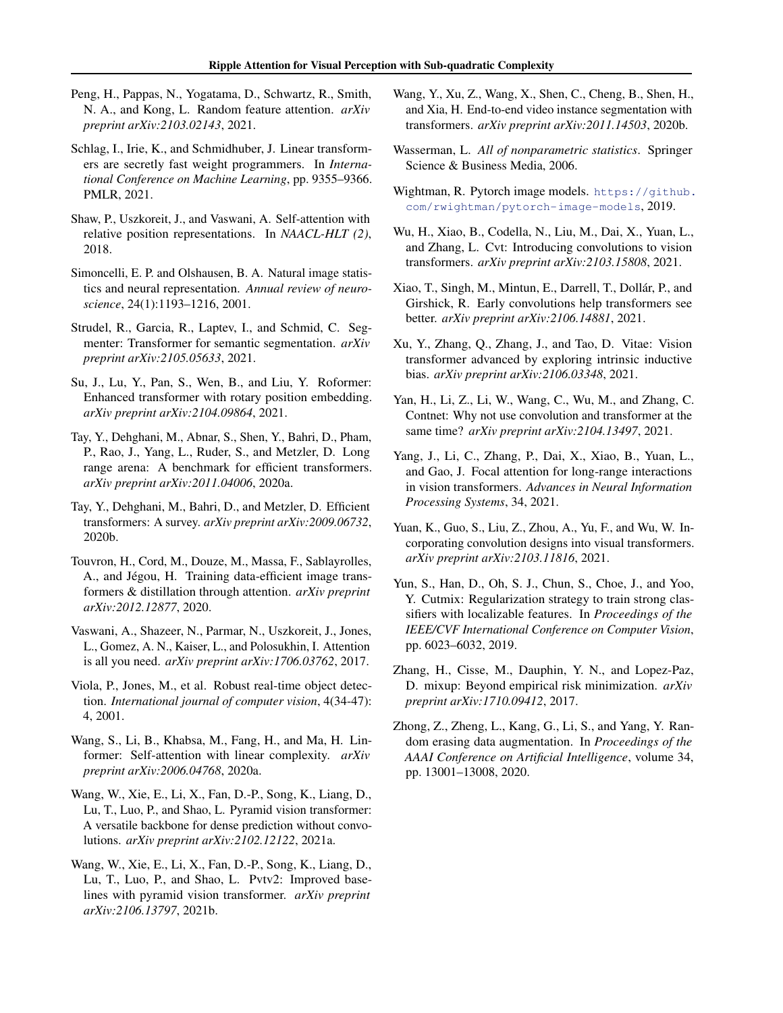- <span id="page-10-7"></span>Peng, H., Pappas, N., Yogatama, D., Schwartz, R., Smith, N. A., and Kong, L. Random feature attention. *arXiv preprint arXiv:2103.02143*, 2021.
- <span id="page-10-16"></span>Schlag, I., Irie, K., and Schmidhuber, J. Linear transformers are secretly fast weight programmers. In *International Conference on Machine Learning*, pp. 9355–9366. PMLR, 2021.
- <span id="page-10-20"></span>Shaw, P., Uszkoreit, J., and Vaswani, A. Self-attention with relative position representations. In *NAACL-HLT (2)*, 2018.
- <span id="page-10-6"></span>Simoncelli, E. P. and Olshausen, B. A. Natural image statistics and neural representation. *Annual review of neuroscience*, 24(1):1193–1216, 2001.
- <span id="page-10-5"></span>Strudel, R., Garcia, R., Laptev, I., and Schmid, C. Segmenter: Transformer for semantic segmentation. *arXiv preprint arXiv:2105.05633*, 2021.
- <span id="page-10-10"></span>Su, J., Lu, Y., Pan, S., Wen, B., and Liu, Y. Roformer: Enhanced transformer with rotary position embedding. *arXiv preprint arXiv:2104.09864*, 2021.
- <span id="page-10-18"></span>Tay, Y., Dehghani, M., Abnar, S., Shen, Y., Bahri, D., Pham, P., Rao, J., Yang, L., Ruder, S., and Metzler, D. Long range arena: A benchmark for efficient transformers. *arXiv preprint arXiv:2011.04006*, 2020a.
- <span id="page-10-19"></span>Tay, Y., Dehghani, M., Bahri, D., and Metzler, D. Efficient transformers: A survey. *arXiv preprint arXiv:2009.06732*, 2020b.
- <span id="page-10-1"></span>Touvron, H., Cord, M., Douze, M., Massa, F., Sablayrolles, A., and Jégou, H. Training data-efficient image transformers & distillation through attention. *arXiv preprint arXiv:2012.12877*, 2020.
- <span id="page-10-0"></span>Vaswani, A., Shazeer, N., Parmar, N., Uszkoreit, J., Jones, L., Gomez, A. N., Kaiser, L., and Polosukhin, I. Attention is all you need. *arXiv preprint arXiv:1706.03762*, 2017.
- <span id="page-10-9"></span>Viola, P., Jones, M., et al. Robust real-time object detection. *International journal of computer vision*, 4(34-47): 4, 2001.
- <span id="page-10-17"></span>Wang, S., Li, B., Khabsa, M., Fang, H., and Ma, H. Linformer: Self-attention with linear complexity. *arXiv preprint arXiv:2006.04768*, 2020a.
- <span id="page-10-13"></span>Wang, W., Xie, E., Li, X., Fan, D.-P., Song, K., Liang, D., Lu, T., Luo, P., and Shao, L. Pyramid vision transformer: A versatile backbone for dense prediction without convolutions. *arXiv preprint arXiv:2102.12122*, 2021a.
- <span id="page-10-3"></span>Wang, W., Xie, E., Li, X., Fan, D.-P., Song, K., Liang, D., Lu, T., Luo, P., and Shao, L. Pvtv2: Improved baselines with pyramid vision transformer. *arXiv preprint arXiv:2106.13797*, 2021b.
- <span id="page-10-4"></span>Wang, Y., Xu, Z., Wang, X., Shen, C., Cheng, B., Shen, H., and Xia, H. End-to-end video instance segmentation with transformers. *arXiv preprint arXiv:2011.14503*, 2020b.
- <span id="page-10-8"></span>Wasserman, L. *All of nonparametric statistics*. Springer Science & Business Media, 2006.
- <span id="page-10-21"></span>Wightman, R. Pytorch image models. [https://github.](https://github.com/rwightman/pytorch-image-models) [com/rwightman/pytorch-image-models](https://github.com/rwightman/pytorch-image-models), 2019.
- <span id="page-10-11"></span>Wu, H., Xiao, B., Codella, N., Liu, M., Dai, X., Yuan, L., and Zhang, L. Cvt: Introducing convolutions to vision transformers. *arXiv preprint arXiv:2103.15808*, 2021.
- <span id="page-10-23"></span>Xiao, T., Singh, M., Mintun, E., Darrell, T., Dollár, P., and Girshick, R. Early convolutions help transformers see better. *arXiv preprint arXiv:2106.14881*, 2021.
- <span id="page-10-14"></span>Xu, Y., Zhang, Q., Zhang, J., and Tao, D. Vitae: Vision transformer advanced by exploring intrinsic inductive bias. *arXiv preprint arXiv:2106.03348*, 2021.
- <span id="page-10-12"></span>Yan, H., Li, Z., Li, W., Wang, C., Wu, M., and Zhang, C. Contnet: Why not use convolution and transformer at the same time? *arXiv preprint arXiv:2104.13497*, 2021.
- <span id="page-10-2"></span>Yang, J., Li, C., Zhang, P., Dai, X., Xiao, B., Yuan, L., and Gao, J. Focal attention for long-range interactions in vision transformers. *Advances in Neural Information Processing Systems*, 34, 2021.
- <span id="page-10-15"></span>Yuan, K., Guo, S., Liu, Z., Zhou, A., Yu, F., and Wu, W. Incorporating convolution designs into visual transformers. *arXiv preprint arXiv:2103.11816*, 2021.
- <span id="page-10-25"></span>Yun, S., Han, D., Oh, S. J., Chun, S., Choe, J., and Yoo, Y. Cutmix: Regularization strategy to train strong classifiers with localizable features. In *Proceedings of the IEEE/CVF International Conference on Computer Vision*, pp. 6023–6032, 2019.
- <span id="page-10-24"></span>Zhang, H., Cisse, M., Dauphin, Y. N., and Lopez-Paz, D. mixup: Beyond empirical risk minimization. *arXiv preprint arXiv:1710.09412*, 2017.
- <span id="page-10-22"></span>Zhong, Z., Zheng, L., Kang, G., Li, S., and Yang, Y. Random erasing data augmentation. In *Proceedings of the AAAI Conference on Artificial Intelligence*, volume 34, pp. 13001–13008, 2020.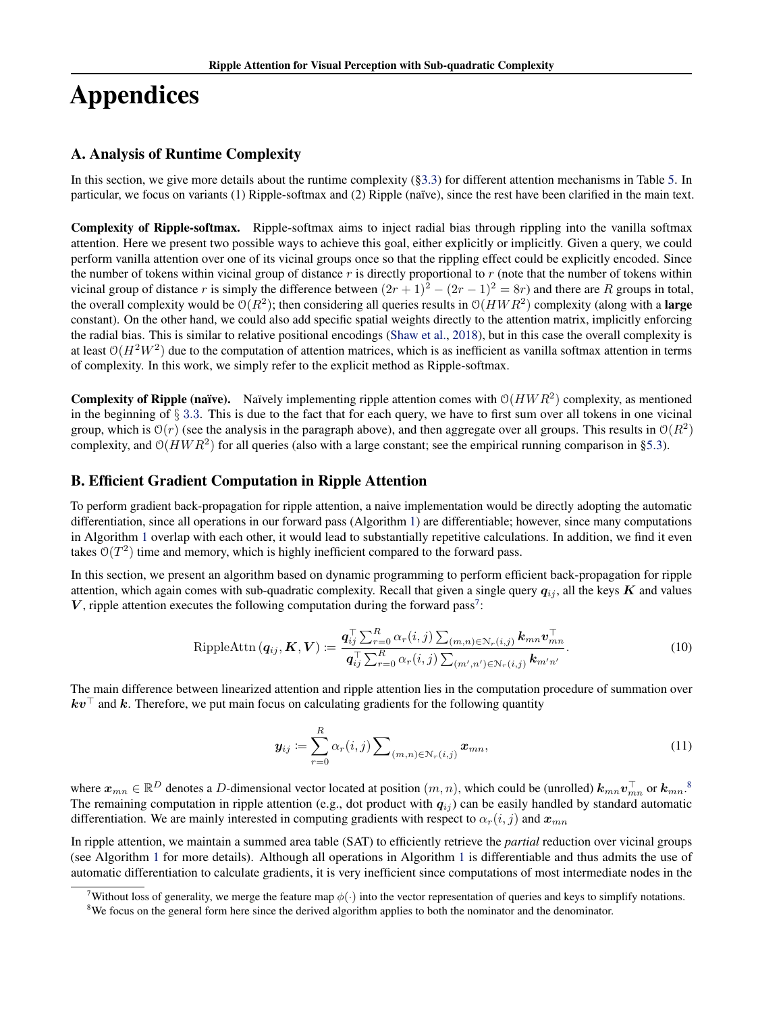# Appendices

## <span id="page-11-0"></span>A. Analysis of Runtime Complexity

In this section, we give more details about the runtime complexity ([§3.3\)](#page-2-2) for different attention mechanisms in Table [5.](#page-13-1) In particular, we focus on variants (1) Ripple-softmax and (2) Ripple (naïve), since the rest have been clarified in the main text.

Complexity of Ripple-softmax. Ripple-softmax aims to inject radial bias through rippling into the vanilla softmax attention. Here we present two possible ways to achieve this goal, either explicitly or implicitly. Given a query, we could perform vanilla attention over one of its vicinal groups once so that the rippling effect could be explicitly encoded. Since the number of tokens within vicinal group of distance  $r$  is directly proportional to  $r$  (note that the number of tokens within vicinal group of distance r is simply the difference between  $(2r + 1)^2 - (2r - 1)^2 = 8r$ ) and there are R groups in total, the overall complexity would be  $O(R^2)$ ; then considering all queries results in  $O(HWR^2)$  complexity (along with a **large** constant). On the other hand, we could also add specific spatial weights directly to the attention matrix, implicitly enforcing the radial bias. This is similar to relative positional encodings [\(Shaw et al.,](#page-10-20) [2018\)](#page-10-20), but in this case the overall complexity is at least  $O(H^2W^2)$  due to the computation of attention matrices, which is as inefficient as vanilla softmax attention in terms of complexity. In this work, we simply refer to the explicit method as Ripple-softmax.

**Complexity of Ripple (naïve).** Naïvely implementing ripple attention comes with  $O(HWR^2)$  complexity, as mentioned in the beginning of  $\S 3.3$  $\S 3.3$  $\S 3.3$ . This is due to the fact that for each query, we have to first sum over all tokens in one vicinal group, which is  $O(r)$  (see the analysis in the paragraph above), and then aggregate over all groups. This results in  $O(R^2)$ complexity, and  $O(HWR^2)$  for all queries (also with a large constant; see the empirical running comparison in [§5.3\)](#page-7-0).

## <span id="page-11-1"></span>B. Efficient Gradient Computation in Ripple Attention

To perform gradient back-propagation for ripple attention, a naive implementation would be directly adopting the automatic differentiation, since all operations in our forward pass (Algorithm [1\)](#page-4-0) are differentiable; however, since many computations in Algorithm [1](#page-4-0) overlap with each other, it would lead to substantially repetitive calculations. In addition, we find it even takes  $O(T^2)$  time and memory, which is highly inefficient compared to the forward pass.

In this section, we present an algorithm based on dynamic programming to perform efficient back-propagation for ripple attention, which again comes with sub-quadratic complexity. Recall that given a single query  $q_{ij}$ , all the keys  $K$  and values  $V$ , ripple attention executes the following computation during the forward pass<sup>[7](#page-11-2)</sup>:

$$
\text{RippleAttn}\left(\boldsymbol{q}_{ij},\boldsymbol{K},\boldsymbol{V}\right) := \frac{\boldsymbol{q}_{ij}^{\top}\sum_{r=0}^{R}\alpha_{r}(i,j)\sum_{(m,n)\in\mathcal{N}_{r}(i,j)}\boldsymbol{k}_{mn}\boldsymbol{v}_{mn}^{\top}}{\boldsymbol{q}_{ij}^{\top}\sum_{r=0}^{R}\alpha_{r}(i,j)\sum_{(m',n')\in\mathcal{N}_{r}(i,j)}\boldsymbol{k}_{m'n'}}.
$$
\n(10)

The main difference between linearized attention and ripple attention lies in the computation procedure of summation over  $kv^{\top}$  and k. Therefore, we put main focus on calculating gradients for the following quantity

<span id="page-11-4"></span>
$$
\mathbf{y}_{ij} \coloneqq \sum_{r=0}^{R} \alpha_r(i,j) \sum_{(m,n) \in \mathcal{N}_r(i,j)} \mathbf{x}_{mn},\tag{11}
$$

where  $x_{mn} \in \mathbb{R}^D$  denotes a D-dimensional vector located at position  $(m, n)$ , which could be (unrolled)  $k_{mn} v_{mn}^{\top}$  or  $k_{mn}$ .<sup>[8](#page-11-3)</sup> The remaining computation in ripple attention (e.g., dot product with  $q_{ij}$ ) can be easily handled by standard automatic differentiation. We are mainly interested in computing gradients with respect to  $\alpha_r(i, j)$  and  $x_{mn}$ 

In ripple attention, we maintain a summed area table (SAT) to efficiently retrieve the *partial* reduction over vicinal groups (see Algorithm [1](#page-4-0) for more details). Although all operations in Algorithm [1](#page-4-0) is differentiable and thus admits the use of automatic differentiation to calculate gradients, it is very inefficient since computations of most intermediate nodes in the

<span id="page-11-2"></span><sup>&</sup>lt;sup>7</sup>Without loss of generality, we merge the feature map  $\phi(\cdot)$  into the vector representation of queries and keys to simplify notations.

<span id="page-11-3"></span><sup>&</sup>lt;sup>8</sup>We focus on the general form here since the derived algorithm applies to both the nominator and the denominator.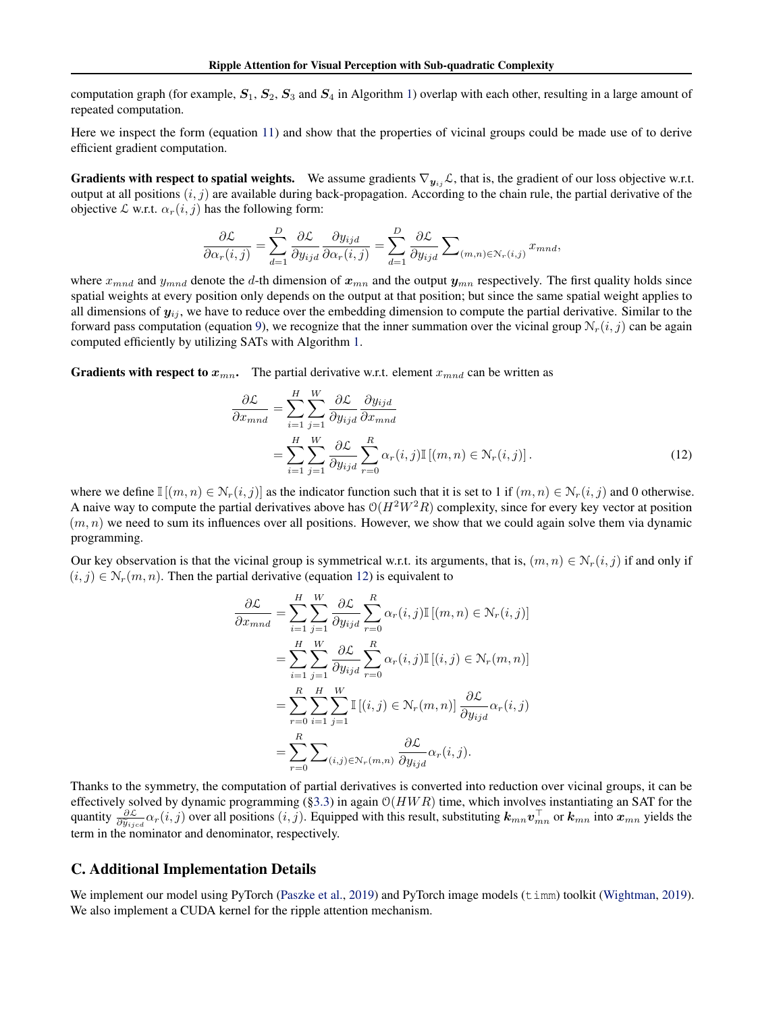computation graph (for example,  $S_1$ ,  $S_2$ ,  $S_3$  and  $S_4$  in Algorithm [1\)](#page-4-0) overlap with each other, resulting in a large amount of repeated computation.

Here we inspect the form (equation [11\)](#page-11-4) and show that the properties of vicinal groups could be made use of to derive efficient gradient computation.

**Gradients with respect to spatial weights.** We assume gradients  $\nabla_{y_{ij}}\mathcal{L}$ , that is, the gradient of our loss objective w.r.t. output at all positions  $(i, j)$  are available during back-propagation. According to the chain rule, the partial derivative of the objective  $\mathcal L$  w.r.t.  $\alpha_r(i, j)$  has the following form:

$$
\frac{\partial \mathcal{L}}{\partial \alpha_r(i,j)} = \sum_{d=1}^D \frac{\partial \mathcal{L}}{\partial y_{ijd}} \frac{\partial y_{ijd}}{\partial \alpha_r(i,j)} = \sum_{d=1}^D \frac{\partial \mathcal{L}}{\partial y_{ijd}} \sum\nolimits_{(m,n) \in \mathcal{N}_r(i,j)} x_{mnd},
$$

where  $x_{mnd}$  and  $y_{mnd}$  denote the d-th dimension of  $x_{mn}$  and the output  $y_{mn}$  respectively. The first quality holds since spatial weights at every position only depends on the output at that position; but since the same spatial weight applies to all dimensions of  $y_{ij}$ , we have to reduce over the embedding dimension to compute the partial derivative. Similar to the forward pass computation (equation [9\)](#page-3-2), we recognize that the inner summation over the vicinal group  $\mathcal{N}_r(i, j)$  can be again computed efficiently by utilizing SATs with Algorithm [1.](#page-4-0)

**Gradients with respect to**  $x_{mn}$ **.** The partial derivative w.r.t. element  $x_{mnd}$  can be written as

$$
\frac{\partial \mathcal{L}}{\partial x_{mnd}} = \sum_{i=1}^{H} \sum_{j=1}^{W} \frac{\partial \mathcal{L}}{\partial y_{ijd}} \frac{\partial y_{ijd}}{\partial x_{mnd}}
$$

$$
= \sum_{i=1}^{H} \sum_{j=1}^{W} \frac{\partial \mathcal{L}}{\partial y_{ijd}} \sum_{r=0}^{R} \alpha_r(i,j) \mathbb{I}[(m,n) \in \mathcal{N}_r(i,j)]. \tag{12}
$$

where we define  $\mathbb{I}[(m,n) \in \mathcal{N}_r(i,j)]$  as the indicator function such that it is set to 1 if  $(m,n) \in \mathcal{N}_r(i,j)$  and 0 otherwise. A naive way to compute the partial derivatives above has  $O(H^2W^2R)$  complexity, since for every key vector at position  $(m, n)$  we need to sum its influences over all positions. However, we show that we could again solve them via dynamic programming.

Our key observation is that the vicinal group is symmetrical w.r.t. its arguments, that is,  $(m, n) \in \mathcal{N}_r(i, j)$  if and only if  $(i, j) \in \mathcal{N}_r(m, n)$ . Then the partial derivative (equation [12\)](#page-11-4) is equivalent to

$$
\frac{\partial \mathcal{L}}{\partial x_{mnd}} = \sum_{i=1}^{H} \sum_{j=1}^{W} \frac{\partial \mathcal{L}}{\partial y_{ijd}} \sum_{r=0}^{R} \alpha_r(i,j) \mathbb{I}[(m,n) \in \mathcal{N}_r(i,j)]
$$
  
\n
$$
= \sum_{i=1}^{H} \sum_{j=1}^{W} \frac{\partial \mathcal{L}}{\partial y_{ijd}} \sum_{r=0}^{R} \alpha_r(i,j) \mathbb{I}[(i,j) \in \mathcal{N}_r(m,n)]
$$
  
\n
$$
= \sum_{r=0}^{R} \sum_{i=1}^{H} \sum_{j=1}^{W} \mathbb{I}[(i,j) \in \mathcal{N}_r(m,n)] \frac{\partial \mathcal{L}}{\partial y_{ijd}} \alpha_r(i,j)
$$
  
\n
$$
= \sum_{r=0}^{R} \sum_{(i,j) \in \mathcal{N}_r(m,n)} \frac{\partial \mathcal{L}}{\partial y_{ijd}} \alpha_r(i,j).
$$

Thanks to the symmetry, the computation of partial derivatives is converted into reduction over vicinal groups, it can be effectively solved by dynamic programming ([§3.3\)](#page-2-2) in again  $O(HWR)$  time, which involves instantiating an SAT for the quantity  $\frac{\partial \mathcal{L}}{\partial \tilde{y}_{ijcd}} \alpha_r(i, j)$  over all positions  $(i, j)$ . Equipped with this result, substituting  $\mathbf{k}_{mn} \mathbf{v}_{mn}^\top$  or  $\mathbf{k}_{mn}$  into  $\mathbf{x}_{mn}$  yields the term in the nominator and denominator, respectively.

#### <span id="page-12-0"></span>C. Additional Implementation Details

We implement our model using PyTorch [\(Paszke et al.,](#page-9-16) [2019\)](#page-10-21) and PyTorch image models (timm) toolkit [\(Wightman,](#page-10-21) 2019). We also implement a CUDA kernel for the ripple attention mechanism.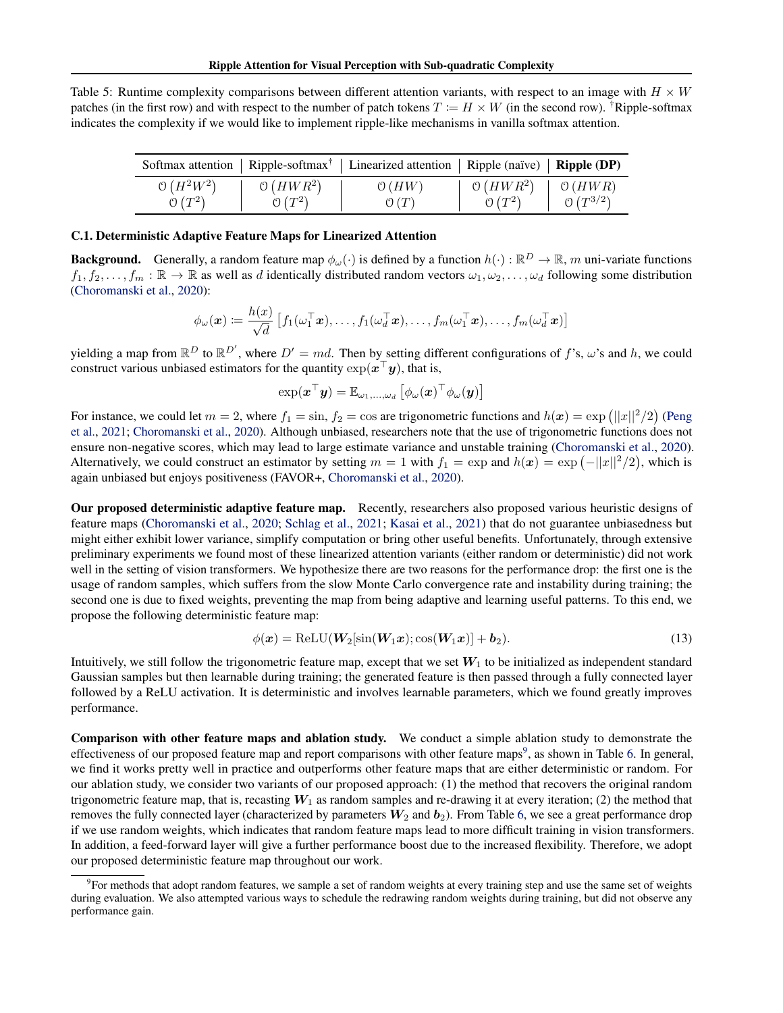<span id="page-13-1"></span>

| Table 5: Runtime complexity comparisons between different attention variants, with respect to an image with $H \times W$                     |
|----------------------------------------------------------------------------------------------------------------------------------------------|
| patches (in the first row) and with respect to the number of patch tokens $T := H \times W$ (in the second row). <sup>†</sup> Ripple-softmax |
| indicates the complexity if we would like to implement ripple-like mechanisms in vanilla softmax attention.                                  |

|                    |                    | Softmax attention   Ripple-softmax <sup>†</sup>   Linearized attention   Ripple (naïve)   <b>Ripple (DP)</b> |            |              |
|--------------------|--------------------|--------------------------------------------------------------------------------------------------------------|------------|--------------|
| $O(H^2W^2)$        | $O(HWR^2)$         | O(HW)                                                                                                        | $O(HWR^2)$ | O(HWR)       |
| $\mathcal{O}(T^2)$ | $\mathcal{O}(T^2)$ | $\mathcal{O}(T)$                                                                                             | $0(T^2)$   | $O(T^{3/2})$ |

#### <span id="page-13-0"></span>C.1. Deterministic Adaptive Feature Maps for Linearized Attention

**Background.** Generally, a random feature map  $\phi_\omega(\cdot)$  is defined by a function  $h(\cdot): \mathbb{R}^D \to \mathbb{R}$ , m uni-variate functions  $f_1, f_2, \ldots, f_m : \mathbb{R} \to \mathbb{R}$  as well as d identically distributed random vectors  $\omega_1, \omega_2, \ldots, \omega_d$  following some distribution [\(Choromanski et al.,](#page-8-9) [2020\)](#page-8-9):

$$
\phi_{\omega}(\boldsymbol{x}) \coloneqq \frac{h(x)}{\sqrt{d}} \left[ f_1(\omega_1^\top \boldsymbol{x}), \ldots, f_1(\omega_d^\top \boldsymbol{x}), \ldots, f_m(\omega_1^\top \boldsymbol{x}), \ldots, f_m(\omega_d^\top \boldsymbol{x}) \right]
$$

yielding a map from  $\mathbb{R}^D$  to  $\mathbb{R}^{D'}$ , where  $D' = md$ . Then by setting different configurations of f's,  $\omega$ 's and h, we could construct various unbiased estimators for the quantity  $\exp(\mathbf{x}^\top \mathbf{y})$ , that is,

$$
\exp(\boldsymbol{x}^{\top}\boldsymbol{y}) = \mathbb{E}_{\omega_1,\dots,\omega_d} \left[ \phi_{\omega}(\boldsymbol{x})^{\top}\phi_{\omega}(\boldsymbol{y}) \right]
$$

For instance, we could let  $m = 2$ , where  $f_1 = \sin f_2 = \cos$  are trigonometric functions and  $h(x) = \exp (||x||^2/2)$  [\(Peng](#page-10-7) [et al.,](#page-10-7) [2021;](#page-10-7) [Choromanski et al.,](#page-8-9) [2020\)](#page-8-9). Although unbiased, researchers note that the use of trigonometric functions does not ensure non-negative scores, which may lead to large estimate variance and unstable training [\(Choromanski et al.,](#page-8-9) [2020\)](#page-8-9). Alternatively, we could construct an estimator by setting  $m = 1$  with  $f_1 = \exp \{ \frac{m}{\alpha} \}$  and  $h(x) = \exp \left( -\frac{||x||^2}{2} \right)$ , which is again unbiased but enjoys positiveness (FAVOR+, [Choromanski et al.,](#page-8-9) [2020\)](#page-8-9).

Our proposed deterministic adaptive feature map. Recently, researchers also proposed various heuristic designs of feature maps [\(Choromanski et al.,](#page-8-9) [2020;](#page-8-9) [Schlag et al.,](#page-10-16) [2021;](#page-10-16) [Kasai et al.,](#page-9-17) [2021\)](#page-9-17) that do not guarantee unbiasedness but might either exhibit lower variance, simplify computation or bring other useful benefits. Unfortunately, through extensive preliminary experiments we found most of these linearized attention variants (either random or deterministic) did not work well in the setting of vision transformers. We hypothesize there are two reasons for the performance drop: the first one is the usage of random samples, which suffers from the slow Monte Carlo convergence rate and instability during training; the second one is due to fixed weights, preventing the map from being adaptive and learning useful patterns. To this end, we propose the following deterministic feature map:

$$
\phi(\boldsymbol{x}) = \text{ReLU}(\boldsymbol{W}_2[\sin(\boldsymbol{W}_1 \boldsymbol{x}); \cos(\boldsymbol{W}_1 \boldsymbol{x})] + \boldsymbol{b}_2). \tag{13}
$$

Intuitively, we still follow the trigonometric feature map, except that we set  $W_1$  to be initialized as independent standard Gaussian samples but then learnable during training; the generated feature is then passed through a fully connected layer followed by a ReLU activation. It is deterministic and involves learnable parameters, which we found greatly improves performance.

Comparison with other feature maps and ablation study. We conduct a simple ablation study to demonstrate the effectiveness of our proposed feature map and report comparisons with other feature maps<sup>[9](#page-13-2)</sup>, as shown in Table [6.](#page-14-1) In general, we find it works pretty well in practice and outperforms other feature maps that are either deterministic or random. For our ablation study, we consider two variants of our proposed approach: (1) the method that recovers the original random trigonometric feature map, that is, recasting  $W_1$  as random samples and re-drawing it at every iteration; (2) the method that removes the fully connected layer (characterized by parameters  $W_2$  and  $b_2$ ). From Table [6,](#page-14-1) we see a great performance drop if we use random weights, which indicates that random feature maps lead to more difficult training in vision transformers. In addition, a feed-forward layer will give a further performance boost due to the increased flexibility. Therefore, we adopt our proposed deterministic feature map throughout our work.

<span id="page-13-2"></span><sup>&</sup>lt;sup>9</sup> For methods that adopt random features, we sample a set of random weights at every training step and use the same set of weights during evaluation. We also attempted various ways to schedule the redrawing random weights during training, but did not observe any performance gain.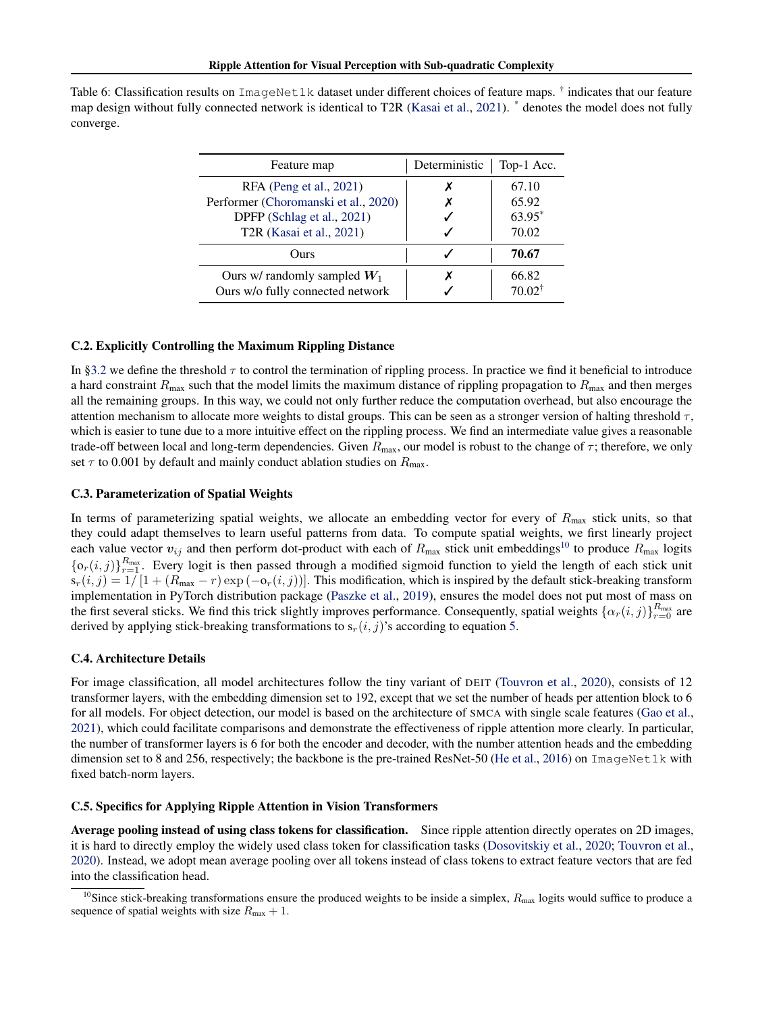<span id="page-14-1"></span>Table 6: Classification results on ImageNet1k dataset under different choices of feature maps. † indicates that our feature map design without fully connected network is identical to T2R [\(Kasai et al.,](#page-9-17) [2021\)](#page-9-17). \* denotes the model does not fully converge.

| Feature map                                                        | Deterministic | Top-1 Acc.                 |
|--------------------------------------------------------------------|---------------|----------------------------|
| RFA (Peng et al., 2021)                                            |               | 67.10                      |
| Performer (Choromanski et al., 2020)                               |               | 65.92                      |
| DPFP (Schlag et al., 2021)                                         |               | 63.95*                     |
| T2R (Kasai et al., 2021)                                           |               | 70.02                      |
| Ours                                                               |               | 70.67                      |
| Ours w/ randomly sampled $W_1$<br>Ours w/o fully connected network |               | 66.82<br>$70.02^{\dagger}$ |

#### C.2. Explicitly Controlling the Maximum Rippling Distance

In [§3.2](#page-2-1) we define the threshold  $\tau$  to control the termination of rippling process. In practice we find it beneficial to introduce a hard constraint  $R_{\text{max}}$  such that the model limits the maximum distance of rippling propagation to  $R_{\text{max}}$  and then merges all the remaining groups. In this way, we could not only further reduce the computation overhead, but also encourage the attention mechanism to allocate more weights to distal groups. This can be seen as a stronger version of halting threshold  $\tau$ , which is easier to tune due to a more intuitive effect on the rippling process. We find an intermediate value gives a reasonable trade-off between local and long-term dependencies. Given  $R_{\text{max}}$ , our model is robust to the change of  $\tau$ ; therefore, we only set  $\tau$  to 0.001 by default and mainly conduct ablation studies on  $R_{\text{max}}$ .

#### <span id="page-14-0"></span>C.3. Parameterization of Spatial Weights

In terms of parameterizing spatial weights, we allocate an embedding vector for every of  $R_{\text{max}}$  stick units, so that they could adapt themselves to learn useful patterns from data. To compute spatial weights, we first linearly project each value vector  $v_{ij}$  and then perform dot-product with each of  $R_{\text{max}}$  stick unit embeddings<sup>[10](#page-14-2)</sup> to produce  $R_{\text{max}}$  logits  $\{o_r(i,j)\}_{r=1}^{R_{\text{max}}}$ . Every logit is then passed through a modified sigmoid function to yield the length of each stick unit  $s_r(i, j) = 1/[1 + (R_{\text{max}} - r) \exp(-\mathfrak{o}_r(i, j))]$ . This modification, which is inspired by the default stick-breaking transform implementation in PyTorch distribution package [\(Paszke et al.,](#page-9-16) [2019\)](#page-9-16), ensures the model does not put most of mass on the first several sticks. We find this trick slightly improves performance. Consequently, spatial weights  $\{\alpha_r(i,j)\}_{r=0}^{R_{\text{max}}}$  are derived by applying stick-breaking transformations to  $s_r(i, j)$ 's according to equation [5.](#page-2-4)

#### <span id="page-14-3"></span>C.4. Architecture Details

For image classification, all model architectures follow the tiny variant of DEIT [\(Touvron et al.,](#page-10-1) [2020\)](#page-10-1), consists of 12 transformer layers, with the embedding dimension set to 192, except that we set the number of heads per attention block to 6 for all models. For object detection, our model is based on the architecture of SMCA with single scale features [\(Gao et al.,](#page-8-13) [2021\)](#page-8-13), which could facilitate comparisons and demonstrate the effectiveness of ripple attention more clearly. In particular, the number of transformer layers is 6 for both the encoder and decoder, with the number attention heads and the embedding dimension set to 8 and 256, respectively; the backbone is the pre-trained ResNet-50 [\(He et al.,](#page-9-18) [2016\)](#page-9-18) on ImageNet1k with fixed batch-norm layers.

#### C.5. Specifics for Applying Ripple Attention in Vision Transformers

Average pooling instead of using class tokens for classification. Since ripple attention directly operates on 2D images, it is hard to directly employ the widely used class token for classification tasks [\(Dosovitskiy et al.,](#page-8-5) [2020;](#page-8-5) [Touvron et al.,](#page-10-1) [2020\)](#page-10-1). Instead, we adopt mean average pooling over all tokens instead of class tokens to extract feature vectors that are fed into the classification head.

<span id="page-14-2"></span><sup>&</sup>lt;sup>10</sup>Since stick-breaking transformations ensure the produced weights to be inside a simplex,  $R_{\text{max}}$  logits would suffice to produce a sequence of spatial weights with size  $R_{\text{max}} + 1$ .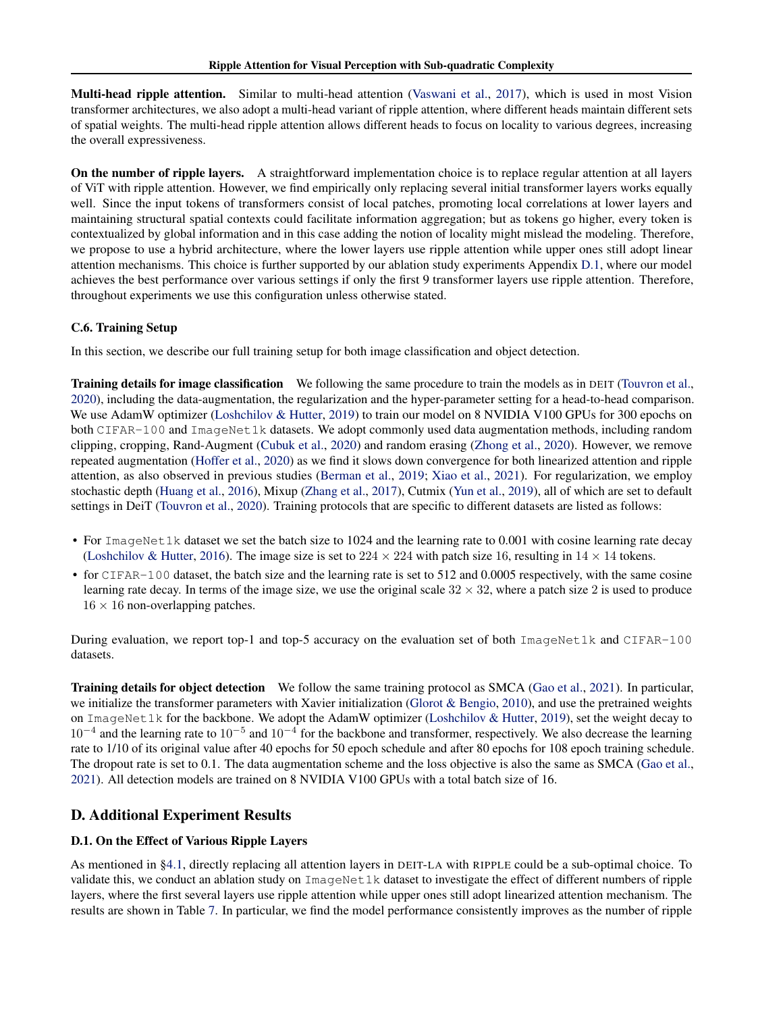Multi-head ripple attention. Similar to multi-head attention [\(Vaswani et al.,](#page-10-0) [2017\)](#page-10-0), which is used in most Vision transformer architectures, we also adopt a multi-head variant of ripple attention, where different heads maintain different sets of spatial weights. The multi-head ripple attention allows different heads to focus on locality to various degrees, increasing the overall expressiveness.

On the number of ripple layers. A straightforward implementation choice is to replace regular attention at all layers of ViT with ripple attention. However, we find empirically only replacing several initial transformer layers works equally well. Since the input tokens of transformers consist of local patches, promoting local correlations at lower layers and maintaining structural spatial contexts could facilitate information aggregation; but as tokens go higher, every token is contextualized by global information and in this case adding the notion of locality might mislead the modeling. Therefore, we propose to use a hybrid architecture, where the lower layers use ripple attention while upper ones still adopt linear attention mechanisms. This choice is further supported by our ablation study experiments Appendix [D.1,](#page-15-0) where our model achieves the best performance over various settings if only the first 9 transformer layers use ripple attention. Therefore, throughout experiments we use this configuration unless otherwise stated.

## C.6. Training Setup

In this section, we describe our full training setup for both image classification and object detection.

Training details for image classification We following the same procedure to train the models as in DEIT [\(Touvron et al.,](#page-10-1) [2020\)](#page-10-1), including the data-augmentation, the regularization and the hyper-parameter setting for a head-to-head comparison. We use AdamW optimizer [\(Loshchilov & Hutter,](#page-9-19) [2019\)](#page-9-19) to train our model on 8 NVIDIA V100 GPUs for 300 epochs on both CIFAR-100 and ImageNet1k datasets. We adopt commonly used data augmentation methods, including random clipping, cropping, Rand-Augment [\(Cubuk et al.,](#page-8-19) [2020\)](#page-8-19) and random erasing [\(Zhong et al.,](#page-10-22) [2020\)](#page-10-22). However, we remove repeated augmentation [\(Hoffer et al.,](#page-9-20) [2020\)](#page-9-20) as we find it slows down convergence for both linearized attention and ripple attention, as also observed in previous studies [\(Berman et al.,](#page-8-20) [2019;](#page-8-20) [Xiao et al.,](#page-10-23) [2021\)](#page-10-23). For regularization, we employ stochastic depth [\(Huang et al.,](#page-9-21) [2016\)](#page-9-21), Mixup [\(Zhang et al.,](#page-10-24) [2017\)](#page-10-24), Cutmix [\(Yun et al.,](#page-10-25) [2019\)](#page-10-25), all of which are set to default settings in DeiT [\(Touvron et al.,](#page-10-1) [2020\)](#page-10-1). Training protocols that are specific to different datasets are listed as follows:

- For ImageNet1k dataset we set the batch size to 1024 and the learning rate to 0.001 with cosine learning rate decay [\(Loshchilov & Hutter,](#page-9-22) [2016\)](#page-9-22). The image size is set to  $224 \times 224$  with patch size 16, resulting in  $14 \times 14$  tokens.
- for CIFAR-100 dataset, the batch size and the learning rate is set to 512 and 0.0005 respectively, with the same cosine learning rate decay. In terms of the image size, we use the original scale  $32 \times 32$ , where a patch size 2 is used to produce  $16 \times 16$  non-overlapping patches.

During evaluation, we report top-1 and top-5 accuracy on the evaluation set of both ImageNet1k and CIFAR-100 datasets.

Training details for object detection We follow the same training protocol as SMCA [\(Gao et al.,](#page-8-13) [2021\)](#page-8-13). In particular, we initialize the transformer parameters with Xavier initialization [\(Glorot & Bengio,](#page-9-23) [2010\)](#page-9-23), and use the pretrained weights on ImageNet1k for the backbone. We adopt the AdamW optimizer [\(Loshchilov & Hutter,](#page-9-19) [2019\)](#page-9-19), set the weight decay to  $10^{-4}$  and the learning rate to  $10^{-5}$  and  $10^{-4}$  for the backbone and transformer, respectively. We also decrease the learning rate to 1/10 of its original value after 40 epochs for 50 epoch schedule and after 80 epochs for 108 epoch training schedule. The dropout rate is set to 0.1. The data augmentation scheme and the loss objective is also the same as SMCA [\(Gao et al.,](#page-8-13) [2021\)](#page-8-13). All detection models are trained on 8 NVIDIA V100 GPUs with a total batch size of 16.

# D. Additional Experiment Results

## <span id="page-15-0"></span>D.1. On the Effect of Various Ripple Layers

As mentioned in [§4.1,](#page-3-4) directly replacing all attention layers in DEIT-LA with RIPPLE could be a sub-optimal choice. To validate this, we conduct an ablation study on ImageNet1k dataset to investigate the effect of different numbers of ripple layers, where the first several layers use ripple attention while upper ones still adopt linearized attention mechanism. The results are shown in Table [7.](#page-16-1) In particular, we find the model performance consistently improves as the number of ripple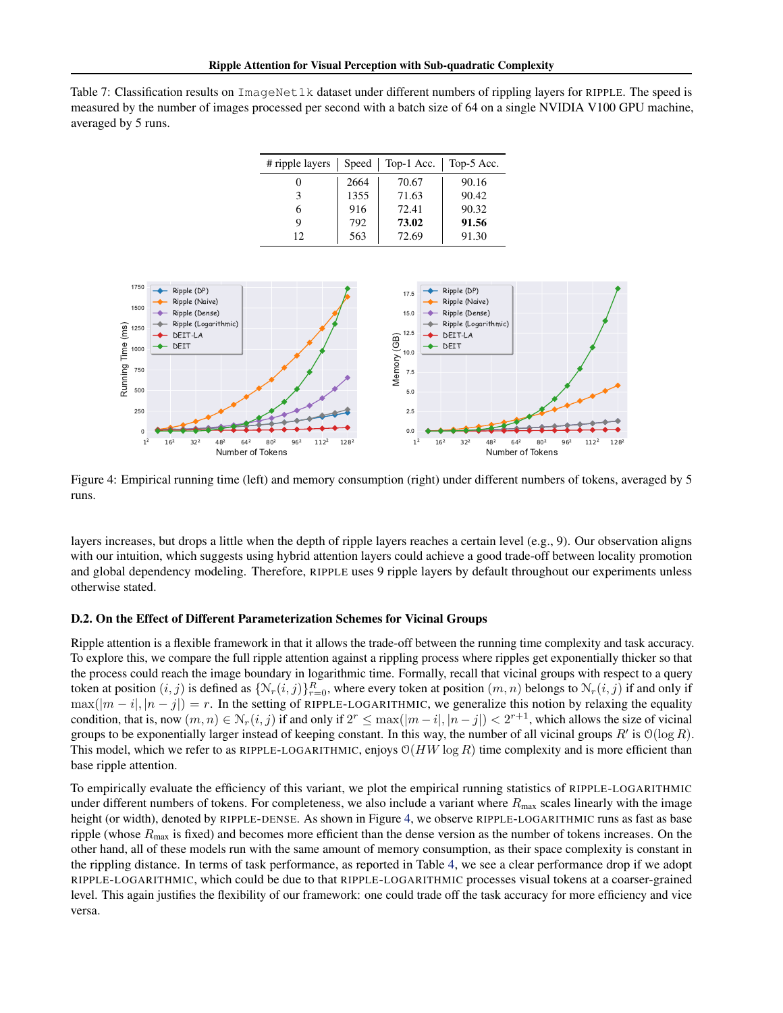<span id="page-16-1"></span>Table 7: Classification results on ImageNet1k dataset under different numbers of rippling layers for RIPPLE. The speed is measured by the number of images processed per second with a batch size of 64 on a single NVIDIA V100 GPU machine, averaged by 5 runs.

| # ripple layers | Speed | Top-1 Acc. | Top-5 Acc. |
|-----------------|-------|------------|------------|
| 0               | 2664  | 70.67      | 90.16      |
| 3               | 1355  | 71.63      | 90.42      |
| 6               | 916   | 72.41      | 90.32      |
| 9               | 792   | 73.02      | 91.56      |
| 12              | 563   | 72.69      | 91.30      |

<span id="page-16-2"></span>

Figure 4: Empirical running time (left) and memory consumption (right) under different numbers of tokens, averaged by 5 runs.

layers increases, but drops a little when the depth of ripple layers reaches a certain level (e.g., 9). Our observation aligns with our intuition, which suggests using hybrid attention layers could achieve a good trade-off between locality promotion and global dependency modeling. Therefore, RIPPLE uses 9 ripple layers by default throughout our experiments unless otherwise stated.

#### <span id="page-16-0"></span>D.2. On the Effect of Different Parameterization Schemes for Vicinal Groups

Ripple attention is a flexible framework in that it allows the trade-off between the running time complexity and task accuracy. To explore this, we compare the full ripple attention against a rippling process where ripples get exponentially thicker so that the process could reach the image boundary in logarithmic time. Formally, recall that vicinal groups with respect to a query token at position  $(i, j)$  is defined as  $\{N_r(i, j)\}_{r=0}^R$ , where every token at position  $(m, n)$  belongs to  $N_r(i, j)$  if and only if  $\max(|m - i|, |n - j|) = r$ . In the setting of RIPPLE-LOGARITHMIC, we generalize this notion by relaxing the equality condition, that is, now  $(m, n) \in \mathcal{N}_r(i, j)$  if and only if  $2^r \le \max(|m - i|, |n - j|) < 2^{r+1}$ , which allows the size of vicinal groups to be exponentially larger instead of keeping constant. In this way, the number of all vicinal groups  $R'$  is  $\mathcal{O}(\log R)$ . This model, which we refer to as RIPPLE-LOGARITHMIC, enjoys  $O(HW \log R)$  time complexity and is more efficient than base ripple attention.

To empirically evaluate the efficiency of this variant, we plot the empirical running statistics of RIPPLE-LOGARITHMIC under different numbers of tokens. For completeness, we also include a variant where  $R_{\text{max}}$  scales linearly with the image height (or width), denoted by RIPPLE-DENSE. As shown in Figure [4,](#page-16-2) we observe RIPPLE-LOGARITHMIC runs as fast as base ripple (whose  $R_{\text{max}}$  is fixed) and becomes more efficient than the dense version as the number of tokens increases. On the other hand, all of these models run with the same amount of memory consumption, as their space complexity is constant in the rippling distance. In terms of task performance, as reported in Table [4,](#page-6-1) we see a clear performance drop if we adopt RIPPLE-LOGARITHMIC, which could be due to that RIPPLE-LOGARITHMIC processes visual tokens at a coarser-grained level. This again justifies the flexibility of our framework: one could trade off the task accuracy for more efficiency and vice versa.